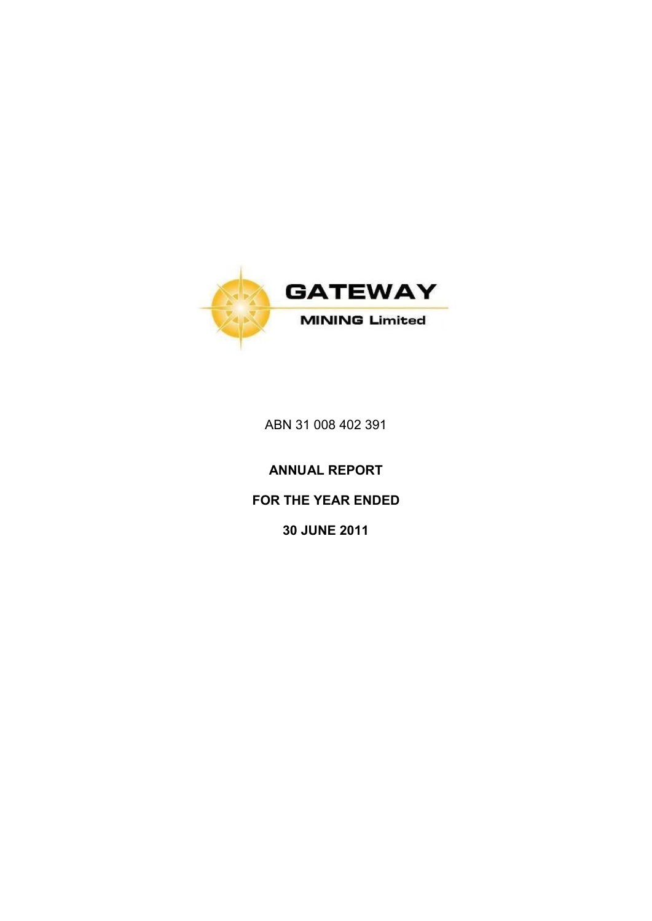

ABN 31 008 402 391

# **ANNUAL REPORT**

# **FOR THE YEAR ENDED**

**30 JUNE 2011**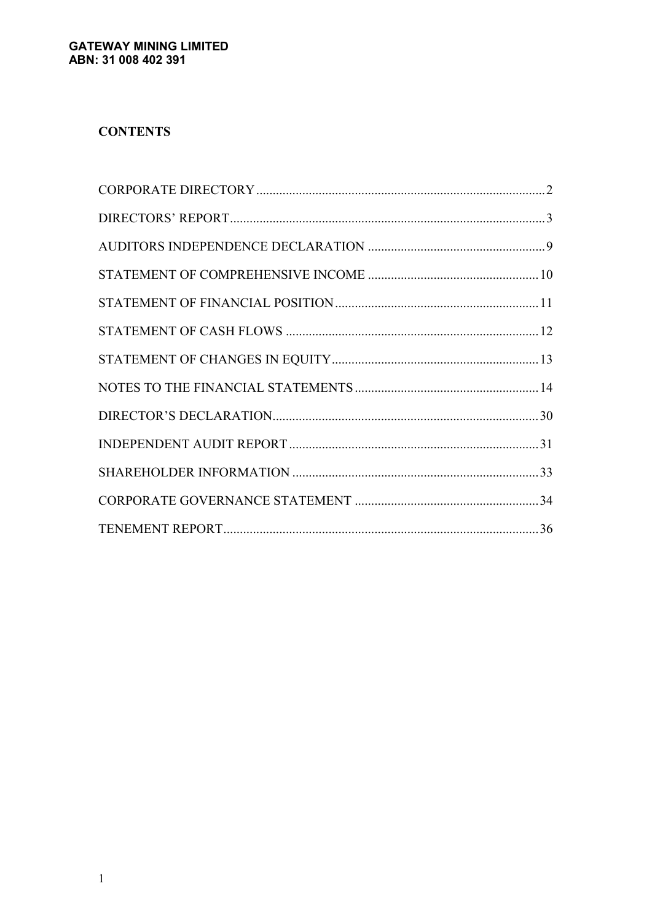# **CONTENTS**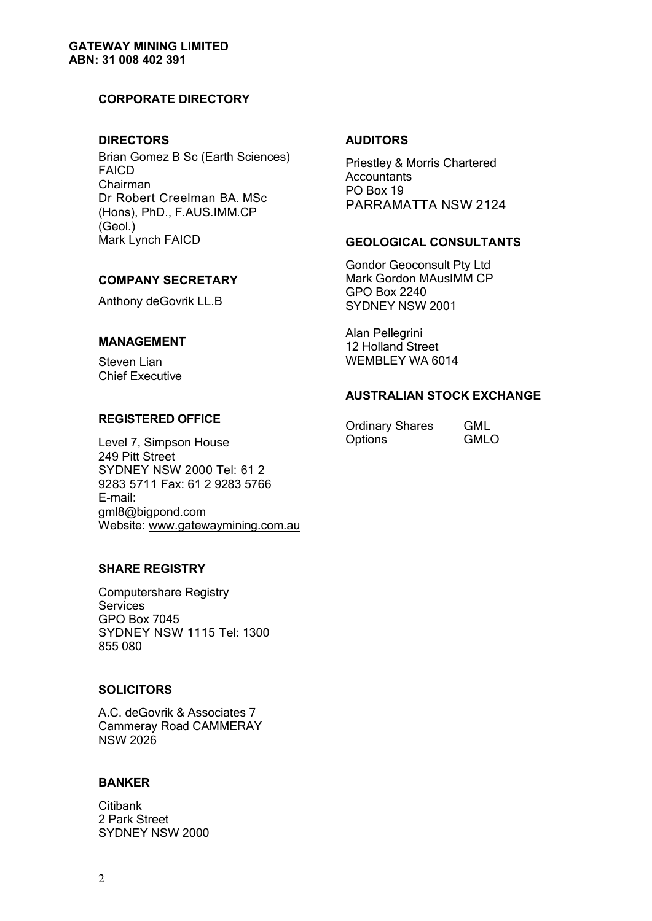## **CORPORATE DIRECTORY**

## **DIRECTORS**

Brian Gomez B Sc (Earth Sciences) FAICD Chairman Dr Robert Creelman BA. MSc (Hons), PhD., F.AUS.IMM.CP (Geol.) Mark Lynch FAICD

## **COMPANY SECRETARY**

Anthony deGovrik LL.B

## **MANAGEMENT**

Steven Lian Chief Executive

## **REGISTERED OFFICE**

Level 7, Simpson House 249 Pitt Street SYDNEY NSW 2000 Tel: 61 2 9283 5711 Fax: 61 2 9283 5766 E-mail: gml8@bigpond.com Website: www.gatewaymining.com.au

## **SHARE REGISTRY**

Computershare Registry **Services** GPO Box 7045 SYDNEY NSW 1115 Tel: 1300 855 080

## **SOLICITORS**

A.C. deGovrik & Associates 7 Cammeray Road CAMMERAY NSW 2026

## **BANKER**

**Citibank** 2 Park Street SYDNEY NSW 2000

## **AUDITORS**

Priestley & Morris Chartered **Accountants** PO Box 19 PARRAMATTA NSW 2124

## **GEOLOGICAL CONSULTANTS**

Gondor Geoconsult Pty Ltd Mark Gordon MAusIMM CP GPO Box 2240 SYDNEY NSW 2001

Alan Pellegrini 12 Holland Street WEMBLEY WA 6014

## **AUSTRALIAN STOCK EXCHANGE**

| <b>Ordinary Shares</b> | <b>GML</b>  |
|------------------------|-------------|
| Options                | <b>GMLO</b> |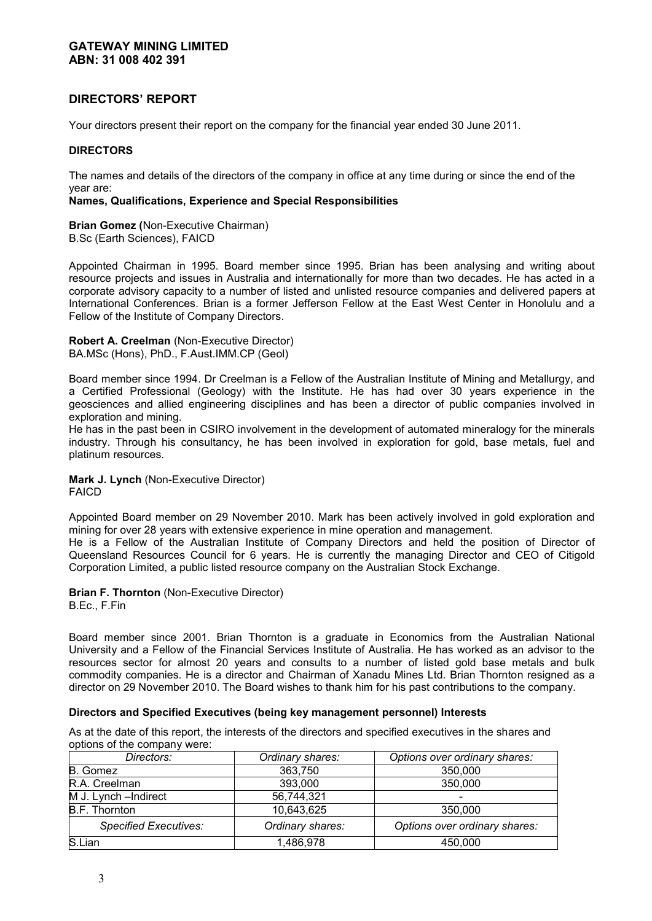## **DIRECTORS' REPORT**

Your directors present their report on the company for the financial year ended 30 June 2011.

### **DIRECTORS**

The names and details of the directors of the company in office at any time during or since the end of the year are:

### **Names, Qualifications, Experience and Special Responsibilities**

**Brian Gomez (**Non-Executive Chairman) B.Sc (Earth Sciences), FAICD

Appointed Chairman in 1995. Board member since 1995. Brian has been analysing and writing about resource projects and issues in Australia and internationally for more than two decades. He has acted in a corporate advisory capacity to a number of listed and unlisted resource companies and delivered papers at International Conferences. Brian is a former Jefferson Fellow at the East West Center in Honolulu and a Fellow of the Institute of Company Directors.

**Robert A. Creelman** (Non-Executive Director) BA.MSc (Hons), PhD., F.Aust.IMM.CP (Geol)

Board member since 1994. Dr Creelman is a Fellow of the Australian Institute of Mining and Metallurgy, and a Certified Professional (Geology) with the Institute. He has had over 30 years experience in the geosciences and allied engineering disciplines and has been a director of public companies involved in exploration and mining.

He has in the past been in CSIRO involvement in the development of automated mineralogy for the minerals industry. Through his consultancy, he has been involved in exploration for gold, base metals, fuel and platinum resources.

**Mark J. Lynch** (Non-Executive Director) FAICD

Appointed Board member on 29 November 2010. Mark has been actively involved in gold exploration and mining for over 28 years with extensive experience in mine operation and management.

He is a Fellow of the Australian Institute of Company Directors and held the position of Director of Queensland Resources Council for 6 years. He is currently the managing Director and CEO of Citigold Corporation Limited, a public listed resource company on the Australian Stock Exchange.

**Brian F. Thornton (Non-Executive Director)** 

B.Ec., F.Fin

Board member since 2001. Brian Thornton is a graduate in Economics from the Australian National University and a Fellow of the Financial Services Institute of Australia. He has worked as an advisor to the resources sector for almost 20 years and consults to a number of listed gold base metals and bulk commodity companies. He is a director and Chairman of Xanadu Mines Ltd. Brian Thornton resigned as a director on 29 November 2010. The Board wishes to thank him for his past contributions to the company.

### **Directors and Specified Executives (being key management personnel) Interests**

As at the date of this report, the interests of the directors and specified executives in the shares and options of the company were:

| Directors:                   | Ordinary shares: | Options over ordinary shares: |
|------------------------------|------------------|-------------------------------|
| B. Gomez                     | 363,750          | 350,000                       |
| R.A. Creelman                | 393,000          | 350,000                       |
| M J. Lynch - Indirect        | 56,744,321       |                               |
| <b>B.F. Thornton</b>         | 10,643,625       | 350,000                       |
| <b>Specified Executives:</b> | Ordinary shares: | Options over ordinary shares: |
| S.Lian                       | 1,486,978        | 450,000                       |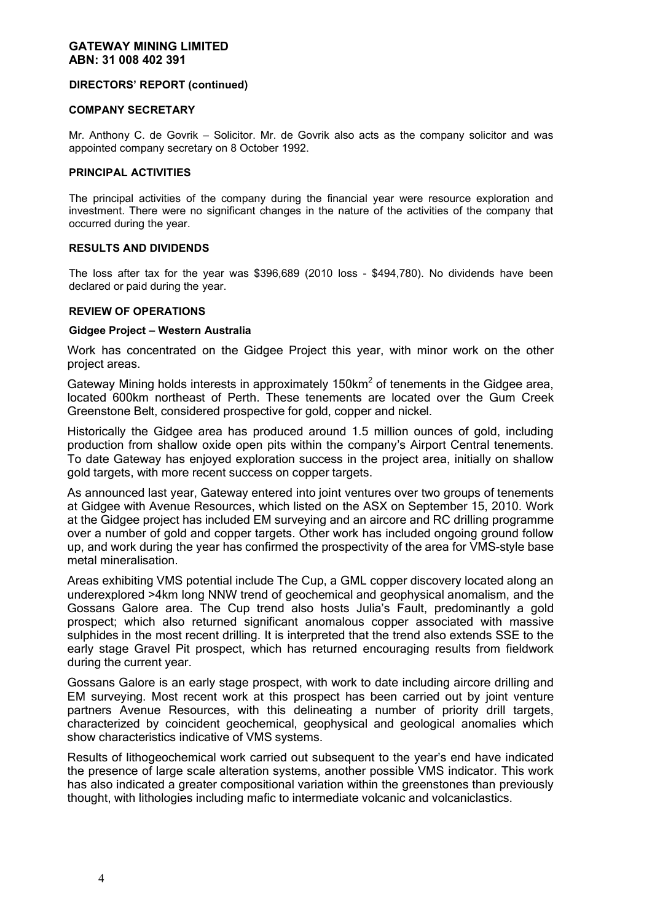### **DIRECTORS' REPORT (continued)**

### **COMPANY SECRETARY**

Mr. Anthony C. de Govrik – Solicitor. Mr. de Govrik also acts as the company solicitor and was appointed company secretary on 8 October 1992.

### **PRINCIPAL ACTIVITIES**

The principal activities of the company during the financial year were resource exploration and investment. There were no significant changes in the nature of the activities of the company that occurred during the year.

### **RESULTS AND DIVIDENDS**

The loss after tax for the year was \$396,689 (2010 loss - \$494,780). No dividends have been declared or paid during the year.

### **REVIEW OF OPERATIONS**

### **Gidgee Project – Western Australia**

Work has concentrated on the Gidgee Project this year, with minor work on the other project areas.

Gateway Mining holds interests in approximately 150km<sup>2</sup> of tenements in the Gidgee area, located 600km northeast of Perth. These tenements are located over the Gum Creek Greenstone Belt, considered prospective for gold, copper and nickel.

Historically the Gidgee area has produced around 1.5 million ounces of gold, including production from shallow oxide open pits within the company's Airport Central tenements. To date Gateway has enjoyed exploration success in the project area, initially on shallow gold targets, with more recent success on copper targets.

As announced last year, Gateway entered into joint ventures over two groups of tenements at Gidgee with Avenue Resources, which listed on the ASX on September 15, 2010. Work at the Gidgee project has included EM surveying and an aircore and RC drilling programme over a number of gold and copper targets. Other work has included ongoing ground follow up, and work during the year has confirmed the prospectivity of the area for VMS-style base metal mineralisation.

Areas exhibiting VMS potential include The Cup, a GML copper discovery located along an underexplored >4km long NNW trend of geochemical and geophysical anomalism, and the Gossans Galore area. The Cup trend also hosts Julia's Fault, predominantly a gold prospect; which also returned significant anomalous copper associated with massive sulphides in the most recent drilling. It is interpreted that the trend also extends SSE to the early stage Gravel Pit prospect, which has returned encouraging results from fieldwork during the current year.

Gossans Galore is an early stage prospect, with work to date including aircore drilling and EM surveying. Most recent work at this prospect has been carried out by joint venture partners Avenue Resources, with this delineating a number of priority drill targets, characterized by coincident geochemical, geophysical and geological anomalies which show characteristics indicative of VMS systems.

Results of lithogeochemical work carried out subsequent to the year's end have indicated the presence of large scale alteration systems, another possible VMS indicator. This work has also indicated a greater compositional variation within the greenstones than previously thought, with lithologies including mafic to intermediate volcanic and volcaniclastics.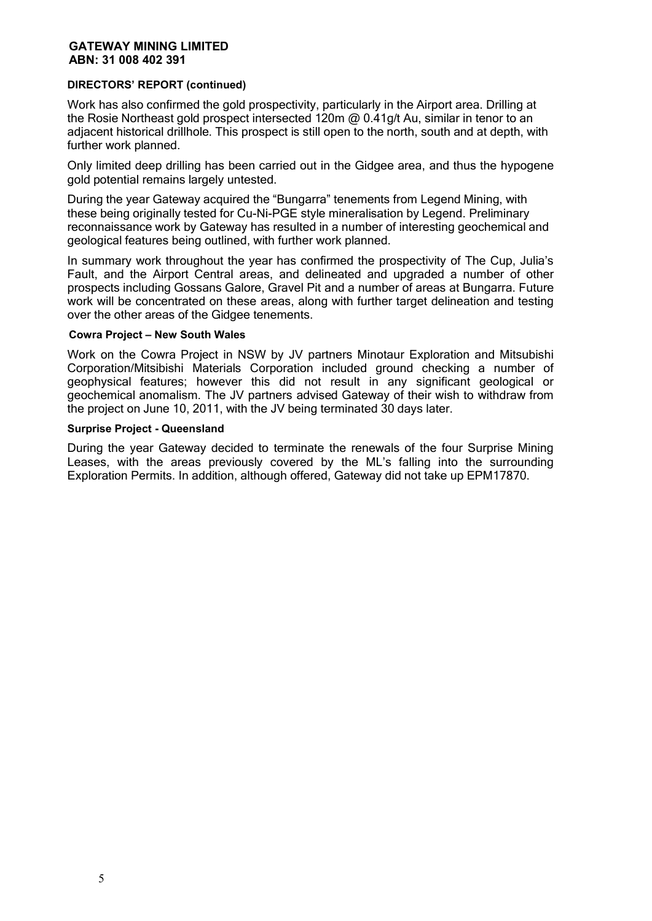## **DIRECTORS' REPORT (continued)**

Work has also confirmed the gold prospectivity, particularly in the Airport area. Drilling at the Rosie Northeast gold prospect intersected 120m  $@$  0.41g/t Au, similar in tenor to an adjacent historical drillhole. This prospect is still open to the north, south and at depth, with further work planned.

Only limited deep drilling has been carried out in the Gidgee area, and thus the hypogene gold potential remains largely untested.

During the year Gateway acquired the "Bungarra" tenements from Legend Mining, with these being originally tested for Cu-Ni-PGE style mineralisation by Legend. Preliminary reconnaissance work by Gateway has resulted in a number of interesting geochemical and geological features being outlined, with further work planned.

In summary work throughout the year has confirmed the prospectivity of The Cup, Julia's Fault, and the Airport Central areas, and delineated and upgraded a number of other prospects including Gossans Galore, Gravel Pit and a number of areas at Bungarra. Future work will be concentrated on these areas, along with further target delineation and testing over the other areas of the Gidgee tenements.

## **Cowra Project – New South Wales**

Work on the Cowra Project in NSW by JV partners Minotaur Exploration and Mitsubishi Corporation/Mitsibishi Materials Corporation included ground checking a number of geophysical features; however this did not result in any significant geological or geochemical anomalism. The JV partners advised Gateway of their wish to withdraw from the project on June 10, 2011, with the JV being terminated 30 days later.

## **Surprise Project - Queensland**

During the year Gateway decided to terminate the renewals of the four Surprise Mining Leases, with the areas previously covered by the ML's falling into the surrounding Exploration Permits. In addition, although offered, Gateway did not take up EPM17870.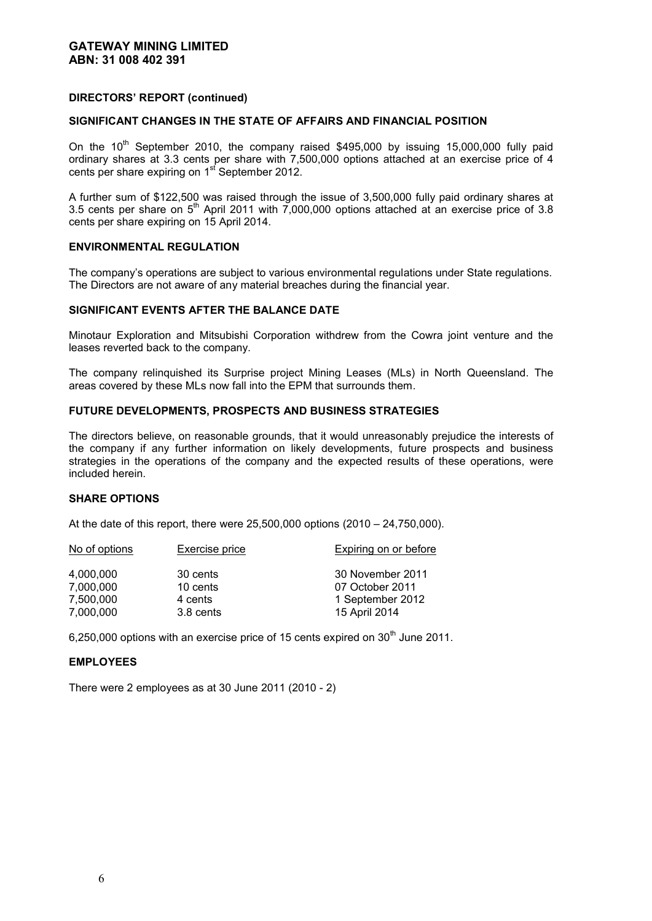### **DIRECTORS' REPORT (continued)**

### **SIGNIFICANT CHANGES IN THE STATE OF AFFAIRS AND FINANCIAL POSITION**

On the 10<sup>th</sup> September 2010, the company raised \$495,000 by issuing 15,000,000 fully paid ordinary shares at 3.3 cents per share with 7,500,000 options attached at an exercise price of 4 cents per share expiring on 1<sup>st</sup> September 2012.

A further sum of \$122,500 was raised through the issue of 3,500,000 fully paid ordinary shares at 3.5 cents per share on  $5<sup>th</sup>$  April 2011 with 7,000,000 options attached at an exercise price of 3.8 cents per share expiring on 15 April 2014.

### **ENVIRONMENTAL REGULATION**

The company's operations are subject to various environmental regulations under State regulations. The Directors are not aware of any material breaches during the financial year.

### **SIGNIFICANT EVENTS AFTER THE BALANCE DATE**

Minotaur Exploration and Mitsubishi Corporation withdrew from the Cowra joint venture and the leases reverted back to the company.

The company relinquished its Surprise project Mining Leases (MLs) in North Queensland. The areas covered by these MLs now fall into the EPM that surrounds them.

### **FUTURE DEVELOPMENTS, PROSPECTS AND BUSINESS STRATEGIES**

The directors believe, on reasonable grounds, that it would unreasonably prejudice the interests of the company if any further information on likely developments, future prospects and business strategies in the operations of the company and the expected results of these operations, were included herein.

#### **SHARE OPTIONS**

At the date of this report, there were 25,500,000 options (2010 – 24,750,000).

| No of options | Exercise price | Expiring on or before |
|---------------|----------------|-----------------------|
| 4,000,000     | 30 cents       | 30 November 2011      |
| 7.000.000     | 10 cents       | 07 October 2011       |
| 7.500.000     | 4 cents        | 1 September 2012      |
| 7,000,000     | 3.8 cents      | 15 April 2014         |

6,250,000 options with an exercise price of 15 cents expired on  $30<sup>th</sup>$  June 2011.

### **EMPLOYEES**

There were 2 employees as at 30 June 2011 (2010 - 2)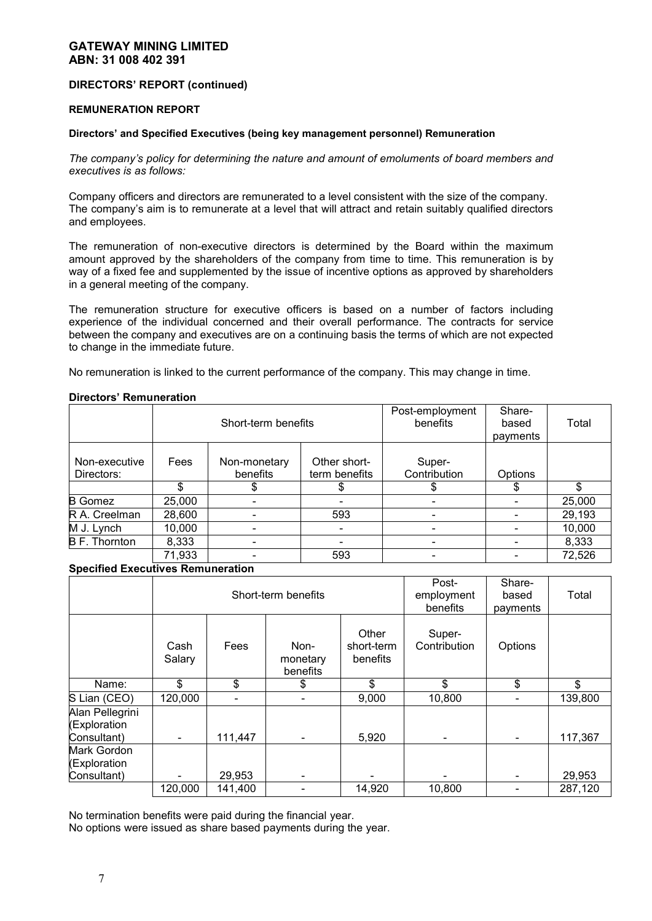### **DIRECTORS' REPORT (continued)**

### **REMUNERATION REPORT**

#### **Directors' and Specified Executives (being key management personnel) Remuneration**

*The company's policy for determining the nature and amount of emoluments of board members and executives is as follows:*

Company officers and directors are remunerated to a level consistent with the size of the company. The company's aim is to remunerate at a level that will attract and retain suitably qualified directors and employees.

The remuneration of non-executive directors is determined by the Board within the maximum amount approved by the shareholders of the company from time to time. This remuneration is by way of a fixed fee and supplemented by the issue of incentive options as approved by shareholders in a general meeting of the company.

The remuneration structure for executive officers is based on a number of factors including experience of the individual concerned and their overall performance. The contracts for service between the company and executives are on a continuing basis the terms of which are not expected to change in the immediate future.

No remuneration is linked to the current performance of the company. This may change in time.

### **Directors' Remuneration**

|                             | Short-term benefits |                          | Post-employment<br>benefits   | Share-<br>based<br>payments | Total   |        |
|-----------------------------|---------------------|--------------------------|-------------------------------|-----------------------------|---------|--------|
| Non-executive<br>Directors: | Fees                | Non-monetary<br>benefits | Other short-<br>term benefits | Super-<br>Contribution      | Options |        |
|                             |                     |                          |                               |                             |         | S      |
| <b>B</b> Gomez              | 25,000              |                          |                               |                             |         | 25,000 |
| R A. Creelman               | 28,600              |                          | 593                           |                             |         | 29,193 |
| M J. Lynch                  | 10,000              |                          |                               |                             |         | 10,000 |
| <b>B</b> F. Thornton        | 8,333               |                          |                               |                             |         | 8,333  |
|                             | 71,933              |                          | 593                           |                             |         | 72,526 |

## **Specified Executives Remuneration**

|                                                | Short-term benefits      |         |                              | Post-<br>employment<br>benefits | Share-<br>based<br>payments | Total   |         |
|------------------------------------------------|--------------------------|---------|------------------------------|---------------------------------|-----------------------------|---------|---------|
|                                                | Cash<br>Salary           | Fees    | Non-<br>monetary<br>benefits | Other<br>short-term<br>benefits | Super-<br>Contribution      | Options |         |
| Name:                                          | \$                       | \$      | \$                           | \$                              | \$                          | \$      | \$      |
| S Lian (CEO)                                   | 120,000                  |         |                              | 9,000                           | 10,800                      |         | 139,800 |
| Alan Pellegrini<br>(Exploration<br>Consultant) | $\overline{\phantom{a}}$ | 111,447 |                              | 5,920                           |                             |         | 117,367 |
| Mark Gordon<br>(Exploration<br>Consultant)     |                          | 29,953  |                              |                                 |                             |         | 29,953  |
|                                                | 120,000                  | 141,400 |                              | 14,920                          | 10,800                      |         | 287,120 |

No termination benefits were paid during the financial year.

No options were issued as share based payments during the year.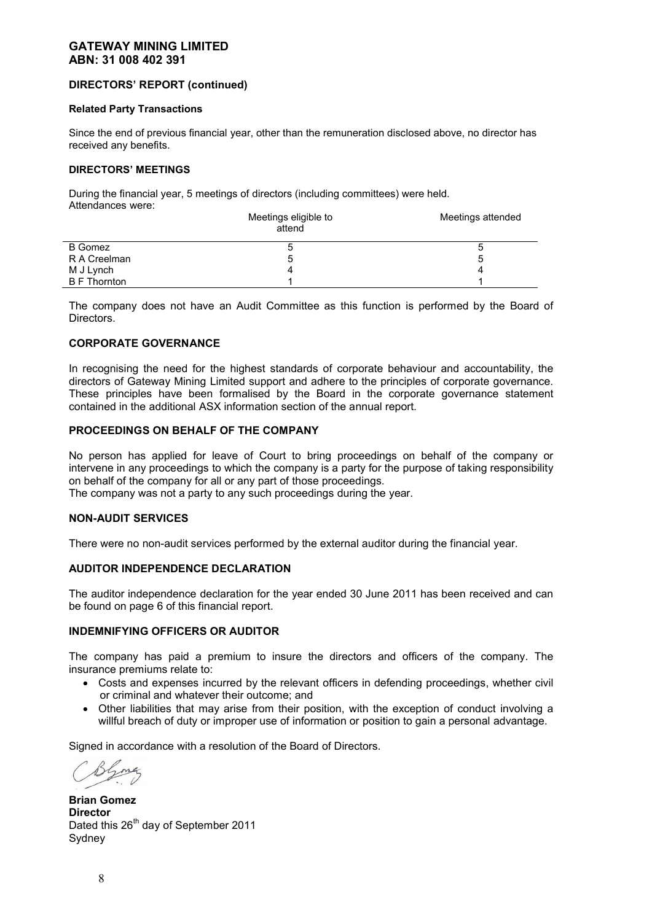### **DIRECTORS' REPORT (continued)**

#### **Related Party Transactions**

Since the end of previous financial year, other than the remuneration disclosed above, no director has received any benefits.

### **DIRECTORS' MEETINGS**

During the financial year, 5 meetings of directors (including committees) were held. Attendances were:

|                     | Meetings eligible to<br>attend | Meetings attended |
|---------------------|--------------------------------|-------------------|
| <b>B</b> Gomez      |                                |                   |
| R A Creelman        |                                | b                 |
| M J Lynch           |                                |                   |
| <b>B F Thornton</b> |                                |                   |

The company does not have an Audit Committee as this function is performed by the Board of Directors.

### **CORPORATE GOVERNANCE**

In recognising the need for the highest standards of corporate behaviour and accountability, the directors of Gateway Mining Limited support and adhere to the principles of corporate governance. These principles have been formalised by the Board in the corporate governance statement contained in the additional ASX information section of the annual report.

### **PROCEEDINGS ON BEHALF OF THE COMPANY**

No person has applied for leave of Court to bring proceedings on behalf of the company or intervene in any proceedings to which the company is a party for the purpose of taking responsibility on behalf of the company for all or any part of those proceedings.

The company was not a party to any such proceedings during the year.

### **NON-AUDIT SERVICES**

There were no non-audit services performed by the external auditor during the financial year.

### **AUDITOR INDEPENDENCE DECLARATION**

The auditor independence declaration for the year ended 30 June 2011 has been received and can be found on page 6 of this financial report.

### **INDEMNIFYING OFFICERS OR AUDITOR**

The company has paid a premium to insure the directors and officers of the company. The insurance premiums relate to:

- Costs and expenses incurred by the relevant officers in defending proceedings, whether civil or criminal and whatever their outcome; and
- Other liabilities that may arise from their position, with the exception of conduct involving a willful breach of duty or improper use of information or position to gain a personal advantage.

Signed in accordance with a resolution of the Board of Directors.

zma

**Brian Gomez Director** Dated this 26<sup>th</sup> day of September 2011 Sydney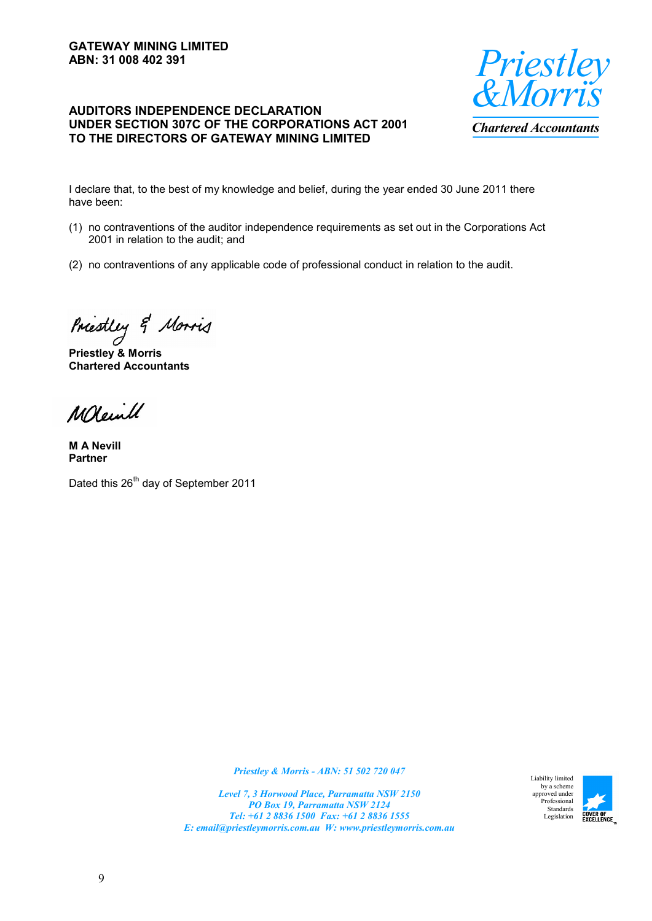## **AUDITORS INDEPENDENCE DECLARATION UNDER SECTION 307C OF THE CORPORATIONS ACT 2001 TO THE DIRECTORS OF GATEWAY MINING LIMITED**



I declare that, to the best of my knowledge and belief, during the year ended 30 June 2011 there have been:

- (1) no contraventions of the auditor independence requirements as set out in the Corporations Act 2001 in relation to the audit; and
- (2) no contraventions of any applicable code of professional conduct in relation to the audit.

Priestley & Morris

**Priestley & Morris Chartered Accountants**

MNewill

**M A Nevill Partner**

Dated this 26<sup>th</sup> day of September 2011

*Priestley & Morris - ABN: 51 502 720 047*

*Level 7, 3 Horwood Place, Parramatta NSW 2150 PO Box 19, Parramatta NSW 2124 Tel: +61 2 8836 1500 Fax: +61 2 8836 1555 E: email@priestleymorris.com.au W: www.priestleymorris.com.au* Liability limited by a scheme approved under Professional Standards Legislation

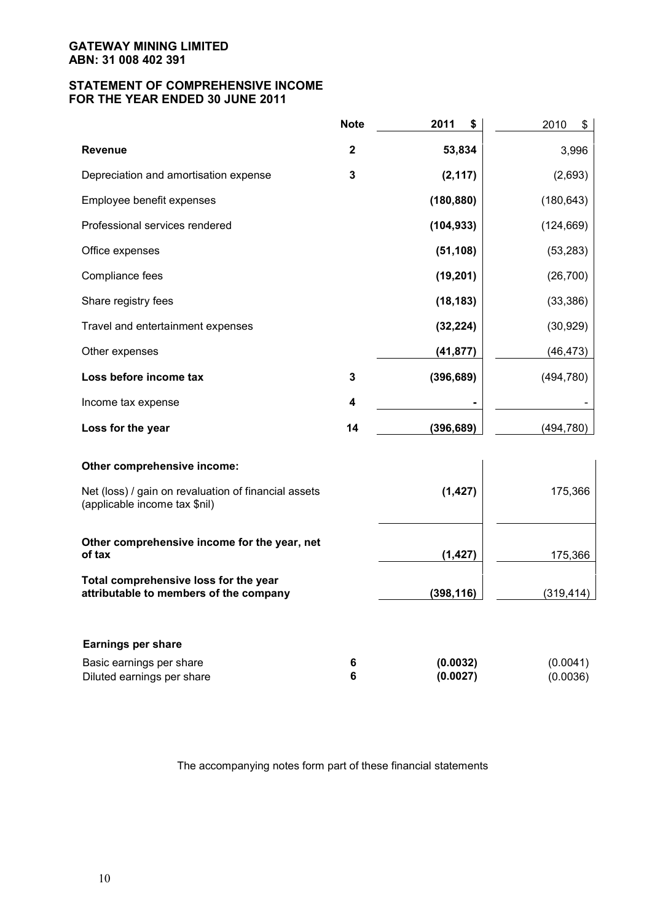## **STATEMENT OF COMPREHENSIVE INCOME FOR THE YEAR ENDED 30 JUNE 2011**

|                                                                                     | <b>Note</b>             | 2011<br>\$           | 2010<br>\$           |
|-------------------------------------------------------------------------------------|-------------------------|----------------------|----------------------|
| <b>Revenue</b>                                                                      | $\overline{\mathbf{2}}$ | 53,834               | 3,996                |
| Depreciation and amortisation expense                                               | $\mathbf{3}$            | (2, 117)             | (2,693)              |
| Employee benefit expenses                                                           |                         | (180, 880)           | (180, 643)           |
| Professional services rendered                                                      |                         | (104, 933)           | (124, 669)           |
| Office expenses                                                                     |                         | (51, 108)            | (53, 283)            |
| Compliance fees                                                                     |                         | (19, 201)            | (26, 700)            |
| Share registry fees                                                                 |                         | (18, 183)            | (33, 386)            |
| Travel and entertainment expenses                                                   |                         | (32, 224)            | (30, 929)            |
| Other expenses                                                                      |                         | (41, 877)            | (46, 473)            |
| Loss before income tax                                                              | 3                       | (396, 689)           | (494, 780)           |
| Income tax expense                                                                  | 4                       |                      |                      |
| Loss for the year                                                                   | 14                      | (396, 689)           | (494, 780)           |
| Other comprehensive income:<br>Net (loss) / gain on revaluation of financial assets |                         | (1, 427)             | 175,366              |
| (applicable income tax \$nil)                                                       |                         |                      |                      |
| Other comprehensive income for the year, net<br>of tax                              |                         | (1, 427)             | 175,366              |
| Total comprehensive loss for the year<br>attributable to members of the company     |                         | (398, 116)           | (319, 414)           |
| <b>Earnings per share</b>                                                           |                         |                      |                      |
| Basic earnings per share<br>Diluted earnings per share                              | 6<br>6                  | (0.0032)<br>(0.0027) | (0.0041)<br>(0.0036) |

The accompanying notes form part of these financial statements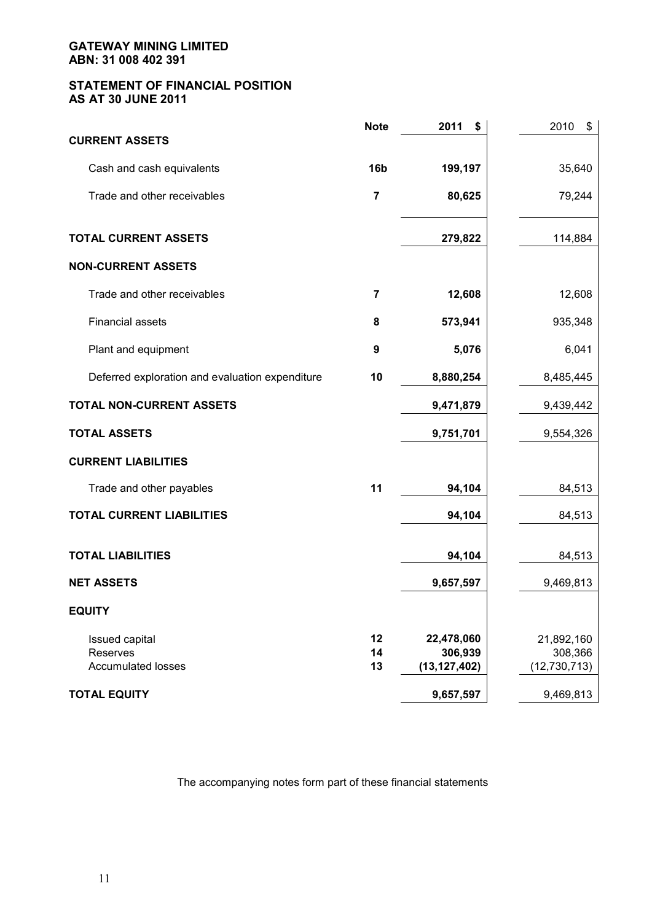## **STATEMENT OF FINANCIAL POSITION AS AT 30 JUNE 2011**

|                                                 | <b>Note</b>    | 2011<br>\$     | 2010<br>\$     |
|-------------------------------------------------|----------------|----------------|----------------|
| <b>CURRENT ASSETS</b>                           |                |                |                |
| Cash and cash equivalents                       | <b>16b</b>     | 199,197        | 35,640         |
| Trade and other receivables                     | $\overline{7}$ | 80,625         | 79,244         |
| <b>TOTAL CURRENT ASSETS</b>                     |                | 279,822        | 114,884        |
| <b>NON-CURRENT ASSETS</b>                       |                |                |                |
| Trade and other receivables                     | 7              | 12,608         | 12,608         |
| <b>Financial assets</b>                         | 8              | 573,941        | 935,348        |
| Plant and equipment                             | 9              | 5,076          | 6,041          |
| Deferred exploration and evaluation expenditure | 10             | 8,880,254      | 8,485,445      |
| <b>TOTAL NON-CURRENT ASSETS</b>                 |                | 9,471,879      | 9,439,442      |
| <b>TOTAL ASSETS</b>                             |                | 9,751,701      | 9,554,326      |
| <b>CURRENT LIABILITIES</b>                      |                |                |                |
| Trade and other payables                        | 11             | 94,104         | 84,513         |
| <b>TOTAL CURRENT LIABILITIES</b>                |                | 94,104         | 84,513         |
| <b>TOTAL LIABILITIES</b>                        |                | 94,104         | 84,513         |
| <b>NET ASSETS</b>                               |                | 9,657,597      | 9,469,813      |
|                                                 |                |                |                |
| <b>EQUITY</b>                                   |                |                |                |
| Issued capital                                  | 12             | 22,478,060     | 21,892,160     |
| Reserves                                        | 14             | 306,939        | 308,366        |
| <b>Accumulated losses</b>                       | 13             | (13, 127, 402) | (12, 730, 713) |
| <b>TOTAL EQUITY</b>                             |                | 9,657,597      | 9,469,813      |

The accompanying notes form part of these financial statements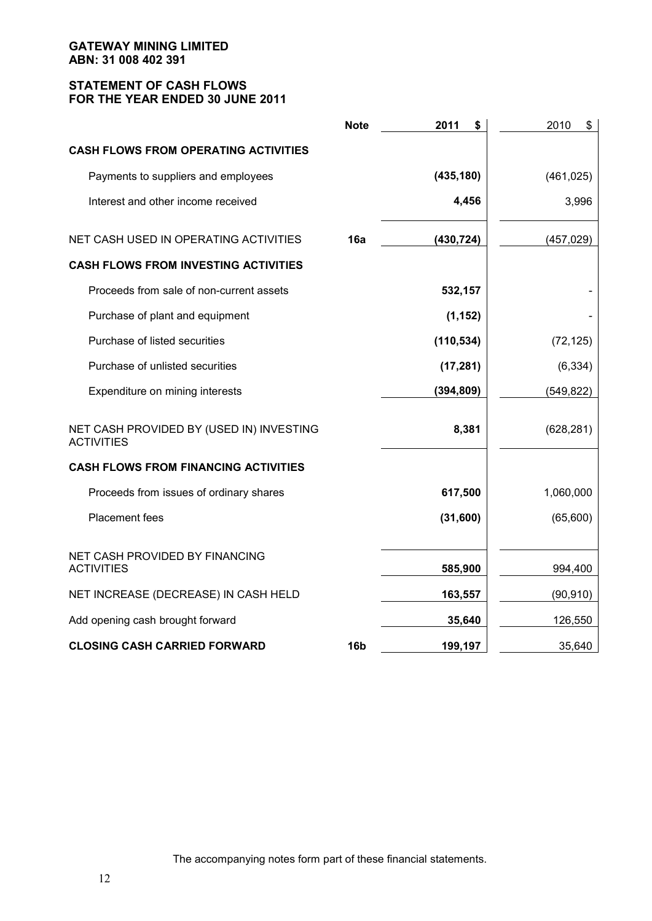## **STATEMENT OF CASH FLOWS FOR THE YEAR ENDED 30 JUNE 2011**

|                                                               | <b>Note</b> | 2011<br>\$ | 2010<br>\$ |
|---------------------------------------------------------------|-------------|------------|------------|
| <b>CASH FLOWS FROM OPERATING ACTIVITIES</b>                   |             |            |            |
| Payments to suppliers and employees                           |             | (435, 180) | (461, 025) |
| Interest and other income received                            |             | 4,456      | 3,996      |
| NET CASH USED IN OPERATING ACTIVITIES                         | 16a         | (430, 724) | (457, 029) |
| <b>CASH FLOWS FROM INVESTING ACTIVITIES</b>                   |             |            |            |
| Proceeds from sale of non-current assets                      |             | 532,157    |            |
| Purchase of plant and equipment                               |             | (1, 152)   |            |
| Purchase of listed securities                                 |             | (110, 534) | (72, 125)  |
| Purchase of unlisted securities                               |             | (17, 281)  | (6, 334)   |
| Expenditure on mining interests                               |             | (394, 809) | (549, 822) |
| NET CASH PROVIDED BY (USED IN) INVESTING<br><b>ACTIVITIES</b> |             | 8,381      | (628, 281) |
| <b>CASH FLOWS FROM FINANCING ACTIVITIES</b>                   |             |            |            |
| Proceeds from issues of ordinary shares                       |             | 617,500    | 1,060,000  |
| <b>Placement fees</b>                                         |             | (31,600)   | (65,600)   |
| NET CASH PROVIDED BY FINANCING<br><b>ACTIVITIES</b>           |             | 585,900    | 994,400    |
| NET INCREASE (DECREASE) IN CASH HELD                          |             | 163,557    | (90, 910)  |
| Add opening cash brought forward                              |             | 35,640     | 126,550    |
| <b>CLOSING CASH CARRIED FORWARD</b>                           | <b>16b</b>  | 199,197    | 35,640     |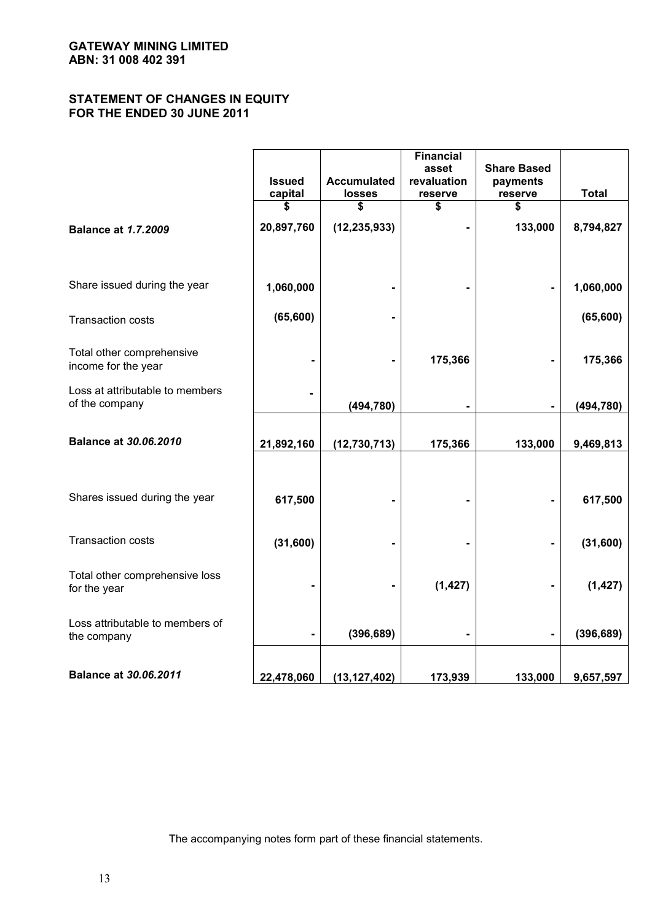## **STATEMENT OF CHANGES IN EQUITY FOR THE ENDED 30 JUNE 2011**

|                                                   |               |                    | <b>Financial</b><br>asset | <b>Share Based</b> |              |
|---------------------------------------------------|---------------|--------------------|---------------------------|--------------------|--------------|
|                                                   | <b>Issued</b> | <b>Accumulated</b> | revaluation               | payments           |              |
|                                                   | capital       | losses             | reserve                   | reserve            | <b>Total</b> |
|                                                   | \$            | \$                 | \$                        | \$                 |              |
| <b>Balance at 1.7.2009</b>                        | 20,897,760    | (12, 235, 933)     |                           | 133,000            | 8,794,827    |
|                                                   |               |                    |                           |                    |              |
| Share issued during the year                      | 1,060,000     |                    |                           |                    | 1,060,000    |
| <b>Transaction costs</b>                          | (65, 600)     |                    |                           |                    | (65, 600)    |
| Total other comprehensive<br>income for the year  |               |                    | 175,366                   |                    | 175,366      |
| Loss at attributable to members<br>of the company |               | (494, 780)         |                           |                    | (494, 780)   |
| <b>Balance at 30.06.2010</b>                      |               |                    |                           |                    |              |
|                                                   | 21,892,160    | (12, 730, 713)     | 175,366                   | 133,000            | 9,469,813    |
| Shares issued during the year                     | 617,500       |                    |                           |                    | 617,500      |
| <b>Transaction costs</b>                          | (31,600)      |                    |                           |                    | (31,600)     |
| Total other comprehensive loss<br>for the year    |               |                    | (1, 427)                  |                    | (1, 427)     |
| Loss attributable to members of<br>the company    |               | (396, 689)         |                           |                    | (396, 689)   |
| <b>Balance at 30.06.2011</b>                      | 22,478,060    | (13, 127, 402)     | 173,939                   | 133,000            | 9,657,597    |

The accompanying notes form part of these financial statements.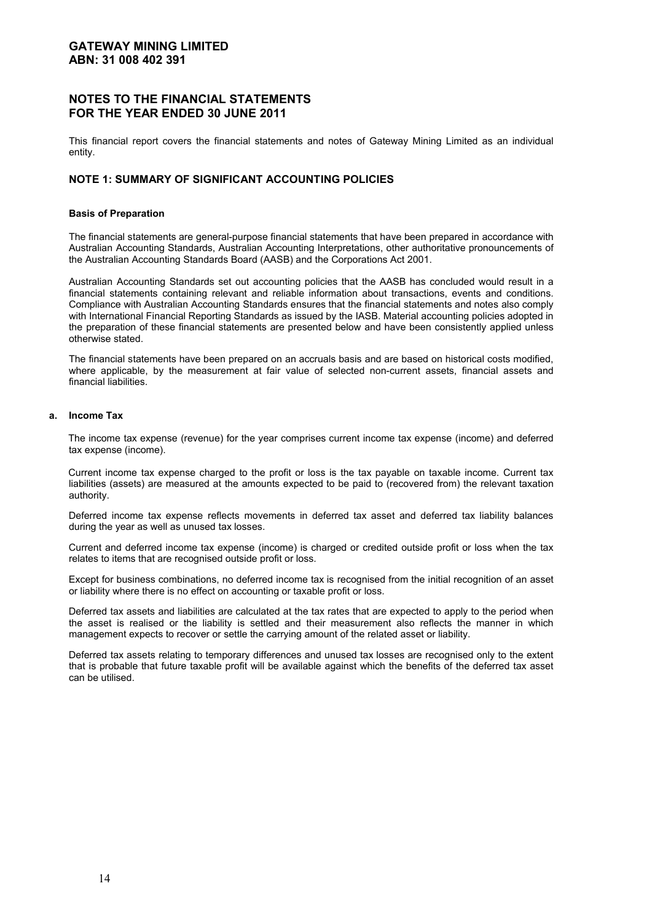This financial report covers the financial statements and notes of Gateway Mining Limited as an individual entity.

### **NOTE 1: SUMMARY OF SIGNIFICANT ACCOUNTING POLICIES**

#### **Basis of Preparation**

The financial statements are general-purpose financial statements that have been prepared in accordance with Australian Accounting Standards, Australian Accounting Interpretations, other authoritative pronouncements of the Australian Accounting Standards Board (AASB) and the Corporations Act 2001.

Australian Accounting Standards set out accounting policies that the AASB has concluded would result in a financial statements containing relevant and reliable information about transactions, events and conditions. Compliance with Australian Accounting Standards ensures that the financial statements and notes also comply with International Financial Reporting Standards as issued by the IASB. Material accounting policies adopted in the preparation of these financial statements are presented below and have been consistently applied unless otherwise stated.

The financial statements have been prepared on an accruals basis and are based on historical costs modified, where applicable, by the measurement at fair value of selected non-current assets, financial assets and financial liabilities.

### **a. Income Tax**

The income tax expense (revenue) for the year comprises current income tax expense (income) and deferred tax expense (income).

Current income tax expense charged to the profit or loss is the tax payable on taxable income. Current tax liabilities (assets) are measured at the amounts expected to be paid to (recovered from) the relevant taxation authority.

Deferred income tax expense reflects movements in deferred tax asset and deferred tax liability balances during the year as well as unused tax losses.

Current and deferred income tax expense (income) is charged or credited outside profit or loss when the tax relates to items that are recognised outside profit or loss.

Except for business combinations, no deferred income tax is recognised from the initial recognition of an asset or liability where there is no effect on accounting or taxable profit or loss.

Deferred tax assets and liabilities are calculated at the tax rates that are expected to apply to the period when the asset is realised or the liability is settled and their measurement also reflects the manner in which management expects to recover or settle the carrying amount of the related asset or liability.

Deferred tax assets relating to temporary differences and unused tax losses are recognised only to the extent that is probable that future taxable profit will be available against which the benefits of the deferred tax asset can be utilised.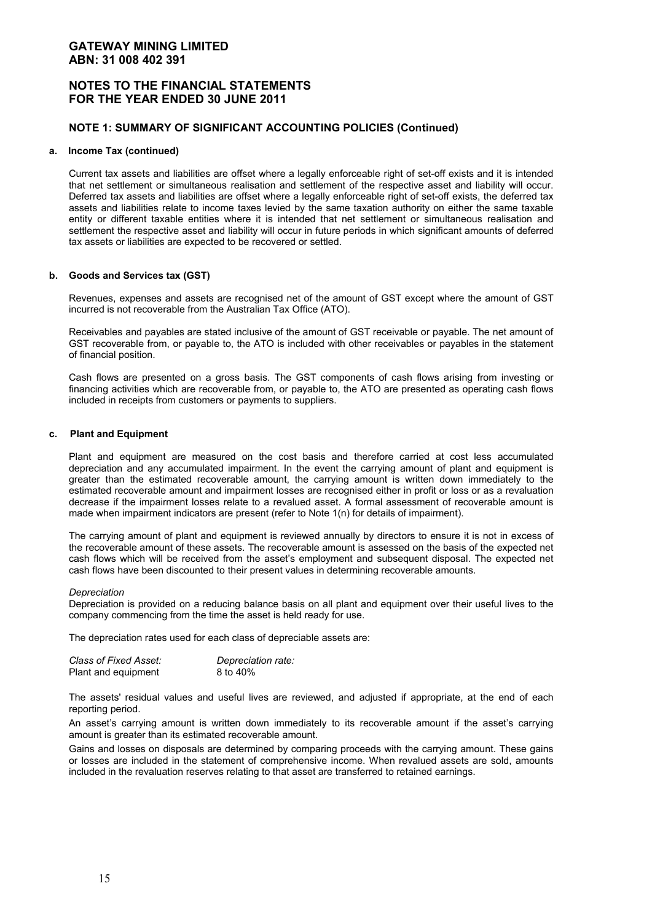### **NOTE 1: SUMMARY OF SIGNIFICANT ACCOUNTING POLICIES (Continued)**

#### **a. Income Tax (continued)**

Current tax assets and liabilities are offset where a legally enforceable right of set-off exists and it is intended that net settlement or simultaneous realisation and settlement of the respective asset and liability will occur. Deferred tax assets and liabilities are offset where a legally enforceable right of set-off exists, the deferred tax assets and liabilities relate to income taxes levied by the same taxation authority on either the same taxable entity or different taxable entities where it is intended that net settlement or simultaneous realisation and settlement the respective asset and liability will occur in future periods in which significant amounts of deferred tax assets or liabilities are expected to be recovered or settled.

#### **b. Goods and Services tax (GST)**

Revenues, expenses and assets are recognised net of the amount of GST except where the amount of GST incurred is not recoverable from the Australian Tax Office (ATO).

Receivables and payables are stated inclusive of the amount of GST receivable or payable. The net amount of GST recoverable from, or payable to, the ATO is included with other receivables or payables in the statement of financial position.

Cash flows are presented on a gross basis. The GST components of cash flows arising from investing or financing activities which are recoverable from, or payable to, the ATO are presented as operating cash flows included in receipts from customers or payments to suppliers.

#### **c. Plant and Equipment**

Plant and equipment are measured on the cost basis and therefore carried at cost less accumulated depreciation and any accumulated impairment. In the event the carrying amount of plant and equipment is greater than the estimated recoverable amount, the carrying amount is written down immediately to the estimated recoverable amount and impairment losses are recognised either in profit or loss or as a revaluation decrease if the impairment losses relate to a revalued asset. A formal assessment of recoverable amount is made when impairment indicators are present (refer to Note 1(n) for details of impairment).

The carrying amount of plant and equipment is reviewed annually by directors to ensure it is not in excess of the recoverable amount of these assets. The recoverable amount is assessed on the basis of the expected net cash flows which will be received from the asset's employment and subsequent disposal. The expected net cash flows have been discounted to their present values in determining recoverable amounts.

#### *Depreciation*

Depreciation is provided on a reducing balance basis on all plant and equipment over their useful lives to the company commencing from the time the asset is held ready for use.

The depreciation rates used for each class of depreciable assets are:

| Class of Fixed Asset: | Depreciation rate: |
|-----------------------|--------------------|
| Plant and equipment   | 8 to 40%           |

The assets' residual values and useful lives are reviewed, and adjusted if appropriate, at the end of each reporting period.

An asset's carrying amount is written down immediately to its recoverable amount if the asset's carrying amount is greater than its estimated recoverable amount.

Gains and losses on disposals are determined by comparing proceeds with the carrying amount. These gains or losses are included in the statement of comprehensive income. When revalued assets are sold, amounts included in the revaluation reserves relating to that asset are transferred to retained earnings.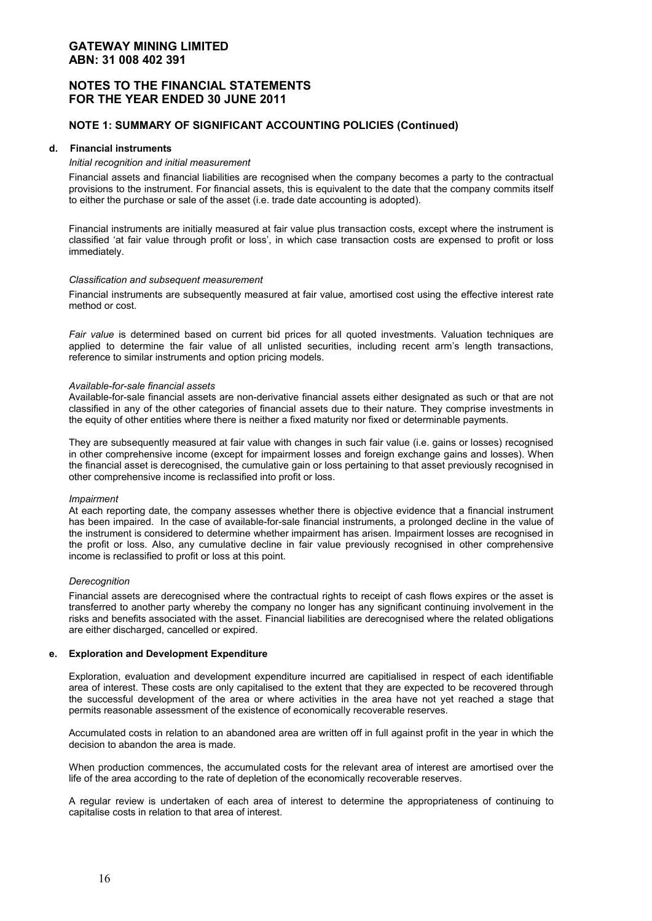### **NOTE 1: SUMMARY OF SIGNIFICANT ACCOUNTING POLICIES (Continued)**

#### **d. Financial instruments**

#### *Initial recognition and initial measurement*

Financial assets and financial liabilities are recognised when the company becomes a party to the contractual provisions to the instrument. For financial assets, this is equivalent to the date that the company commits itself to either the purchase or sale of the asset (i.e. trade date accounting is adopted).

Financial instruments are initially measured at fair value plus transaction costs, except where the instrument is classified 'at fair value through profit or loss', in which case transaction costs are expensed to profit or loss immediately.

#### *Classification and subsequent measurement*

Financial instruments are subsequently measured at fair value, amortised cost using the effective interest rate method or cost.

*Fair value* is determined based on current bid prices for all quoted investments. Valuation techniques are applied to determine the fair value of all unlisted securities, including recent arm's length transactions, reference to similar instruments and option pricing models.

#### *Available-for-sale financial assets*

Available-for-sale financial assets are non-derivative financial assets either designated as such or that are not classified in any of the other categories of financial assets due to their nature. They comprise investments in the equity of other entities where there is neither a fixed maturity nor fixed or determinable payments.

They are subsequently measured at fair value with changes in such fair value (i.e. gains or losses) recognised in other comprehensive income (except for impairment losses and foreign exchange gains and losses). When the financial asset is derecognised, the cumulative gain or loss pertaining to that asset previously recognised in other comprehensive income is reclassified into profit or loss.

#### *Impairment*

At each reporting date, the company assesses whether there is objective evidence that a financial instrument has been impaired. In the case of available-for-sale financial instruments, a prolonged decline in the value of the instrument is considered to determine whether impairment has arisen. Impairment losses are recognised in the profit or loss. Also, any cumulative decline in fair value previously recognised in other comprehensive income is reclassified to profit or loss at this point.

#### *Derecognition*

Financial assets are derecognised where the contractual rights to receipt of cash flows expires or the asset is transferred to another party whereby the company no longer has any significant continuing involvement in the risks and benefits associated with the asset. Financial liabilities are derecognised where the related obligations are either discharged, cancelled or expired.

#### **e. Exploration and Development Expenditure**

Exploration, evaluation and development expenditure incurred are capitialised in respect of each identifiable area of interest. These costs are only capitalised to the extent that they are expected to be recovered through the successful development of the area or where activities in the area have not yet reached a stage that permits reasonable assessment of the existence of economically recoverable reserves.

Accumulated costs in relation to an abandoned area are written off in full against profit in the year in which the decision to abandon the area is made.

When production commences, the accumulated costs for the relevant area of interest are amortised over the life of the area according to the rate of depletion of the economically recoverable reserves.

A regular review is undertaken of each area of interest to determine the appropriateness of continuing to capitalise costs in relation to that area of interest.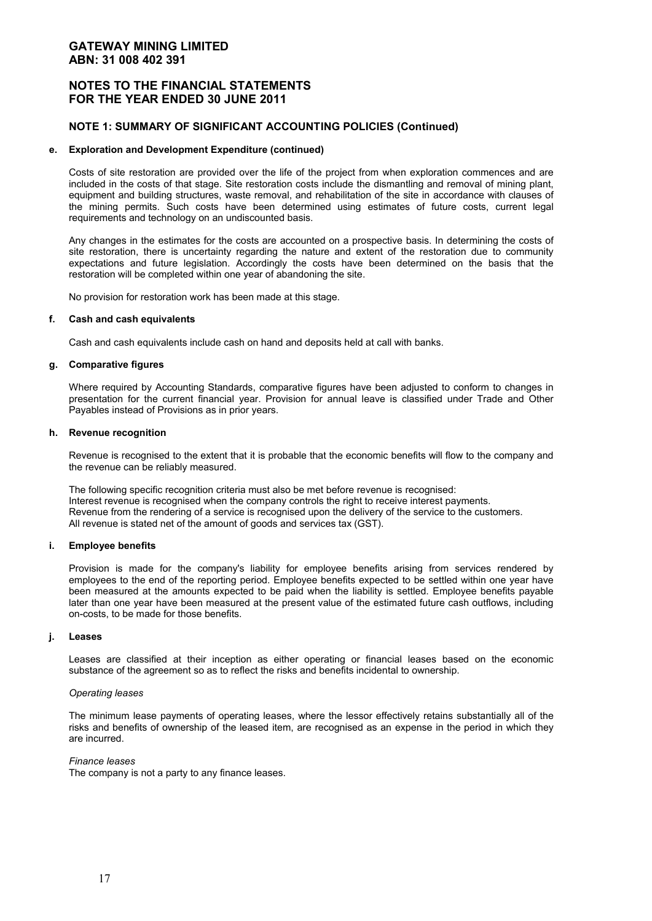### **NOTE 1: SUMMARY OF SIGNIFICANT ACCOUNTING POLICIES (Continued)**

#### **e. Exploration and Development Expenditure (continued)**

Costs of site restoration are provided over the life of the project from when exploration commences and are included in the costs of that stage. Site restoration costs include the dismantling and removal of mining plant, equipment and building structures, waste removal, and rehabilitation of the site in accordance with clauses of the mining permits. Such costs have been determined using estimates of future costs, current legal requirements and technology on an undiscounted basis.

Any changes in the estimates for the costs are accounted on a prospective basis. In determining the costs of site restoration, there is uncertainty regarding the nature and extent of the restoration due to community expectations and future legislation. Accordingly the costs have been determined on the basis that the restoration will be completed within one year of abandoning the site.

No provision for restoration work has been made at this stage.

#### **f. Cash and cash equivalents**

Cash and cash equivalents include cash on hand and deposits held at call with banks.

#### **g. Comparative figures**

Where required by Accounting Standards, comparative figures have been adjusted to conform to changes in presentation for the current financial year. Provision for annual leave is classified under Trade and Other Payables instead of Provisions as in prior years.

#### **h. Revenue recognition**

Revenue is recognised to the extent that it is probable that the economic benefits will flow to the company and the revenue can be reliably measured.

The following specific recognition criteria must also be met before revenue is recognised: Interest revenue is recognised when the company controls the right to receive interest payments. Revenue from the rendering of a service is recognised upon the delivery of the service to the customers. All revenue is stated net of the amount of goods and services tax (GST).

#### **i. Employee benefits**

Provision is made for the company's liability for employee benefits arising from services rendered by employees to the end of the reporting period. Employee benefits expected to be settled within one year have been measured at the amounts expected to be paid when the liability is settled. Employee benefits payable later than one year have been measured at the present value of the estimated future cash outflows, including on-costs, to be made for those benefits.

#### **j. Leases**

Leases are classified at their inception as either operating or financial leases based on the economic substance of the agreement so as to reflect the risks and benefits incidental to ownership.

#### *Operating leases*

The minimum lease payments of operating leases, where the lessor effectively retains substantially all of the risks and benefits of ownership of the leased item, are recognised as an expense in the period in which they are incurred.

#### *Finance leases*

The company is not a party to any finance leases.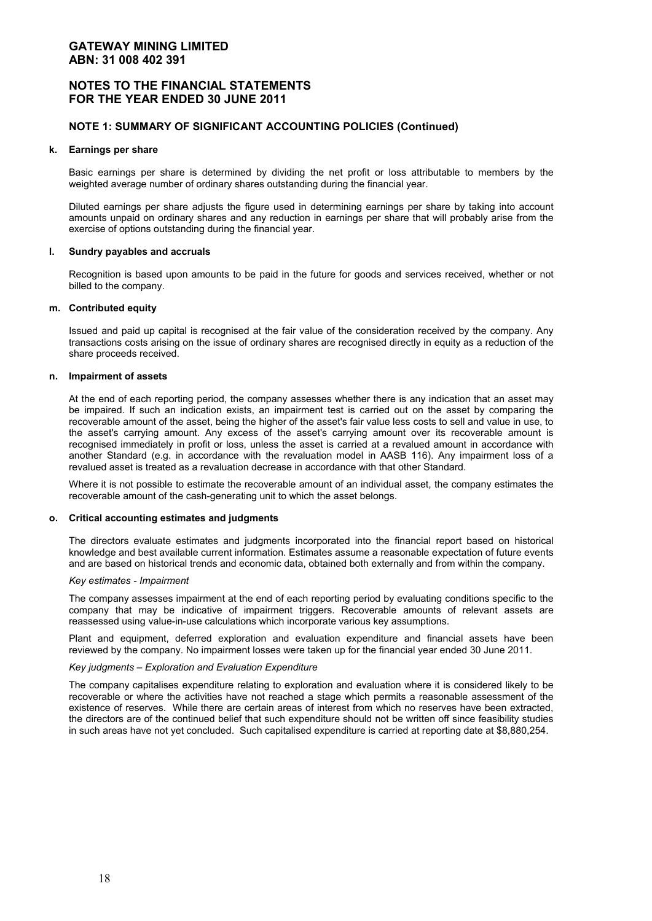### **NOTE 1: SUMMARY OF SIGNIFICANT ACCOUNTING POLICIES (Continued)**

#### **k. Earnings per share**

Basic earnings per share is determined by dividing the net profit or loss attributable to members by the weighted average number of ordinary shares outstanding during the financial year.

Diluted earnings per share adjusts the figure used in determining earnings per share by taking into account amounts unpaid on ordinary shares and any reduction in earnings per share that will probably arise from the exercise of options outstanding during the financial year.

#### **l. Sundry payables and accruals**

Recognition is based upon amounts to be paid in the future for goods and services received, whether or not billed to the company.

#### **m. Contributed equity**

Issued and paid up capital is recognised at the fair value of the consideration received by the company. Any transactions costs arising on the issue of ordinary shares are recognised directly in equity as a reduction of the share proceeds received.

#### **n. Impairment of assets**

At the end of each reporting period, the company assesses whether there is any indication that an asset may be impaired. If such an indication exists, an impairment test is carried out on the asset by comparing the recoverable amount of the asset, being the higher of the asset's fair value less costs to sell and value in use, to the asset's carrying amount. Any excess of the asset's carrying amount over its recoverable amount is recognised immediately in profit or loss, unless the asset is carried at a revalued amount in accordance with another Standard (e.g. in accordance with the revaluation model in AASB 116). Any impairment loss of a revalued asset is treated as a revaluation decrease in accordance with that other Standard.

Where it is not possible to estimate the recoverable amount of an individual asset, the company estimates the recoverable amount of the cash-generating unit to which the asset belongs.

#### **o. Critical accounting estimates and judgments**

The directors evaluate estimates and judgments incorporated into the financial report based on historical knowledge and best available current information. Estimates assume a reasonable expectation of future events and are based on historical trends and economic data, obtained both externally and from within the company.

#### *Key estimates - Impairment*

The company assesses impairment at the end of each reporting period by evaluating conditions specific to the company that may be indicative of impairment triggers. Recoverable amounts of relevant assets are reassessed using value-in-use calculations which incorporate various key assumptions.

Plant and equipment, deferred exploration and evaluation expenditure and financial assets have been reviewed by the company. No impairment losses were taken up for the financial year ended 30 June 2011.

### *Key judgments – Exploration and Evaluation Expenditure*

The company capitalises expenditure relating to exploration and evaluation where it is considered likely to be recoverable or where the activities have not reached a stage which permits a reasonable assessment of the existence of reserves. While there are certain areas of interest from which no reserves have been extracted, the directors are of the continued belief that such expenditure should not be written off since feasibility studies in such areas have not yet concluded. Such capitalised expenditure is carried at reporting date at \$8,880,254.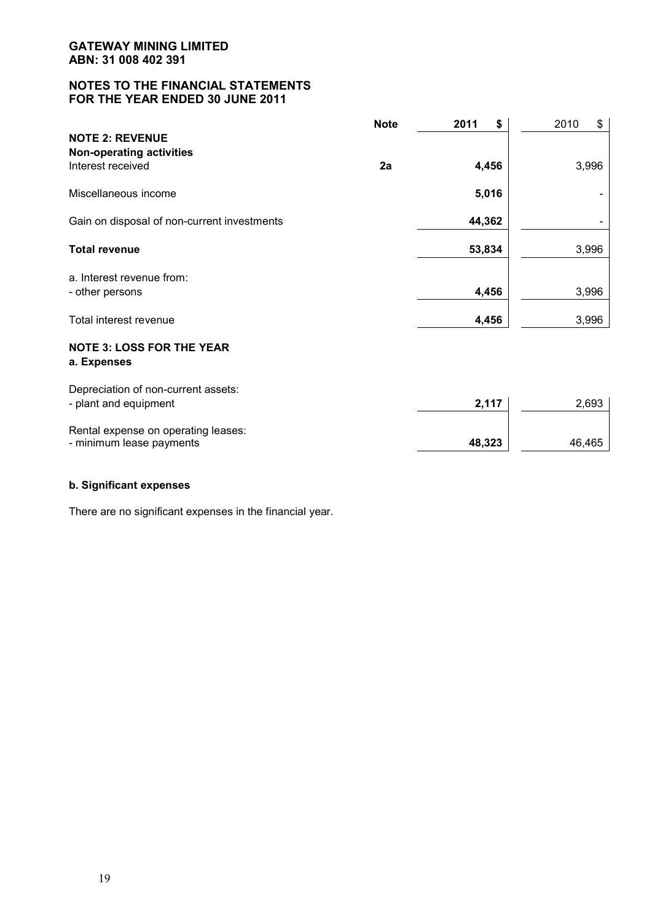## **NOTES TO THE FINANCIAL STATEMENTS FOR THE YEAR ENDED 30 JUNE 2011**

|                                                           | <b>Note</b> | 2011<br>\$ | 2010<br>\$ |
|-----------------------------------------------------------|-------------|------------|------------|
| <b>NOTE 2: REVENUE</b><br><b>Non-operating activities</b> |             |            |            |
| Interest received                                         | 2a          | 4,456      | 3,996      |
| Miscellaneous income                                      |             | 5,016      |            |
| Gain on disposal of non-current investments               |             | 44,362     |            |
| <b>Total revenue</b>                                      |             | 53,834     | 3,996      |
| a. Interest revenue from:                                 |             |            |            |
| - other persons                                           |             | 4,456      | 3,996      |
| Total interest revenue                                    |             | 4,456      | 3,996      |
| <b>NOTE 3: LOSS FOR THE YEAR</b><br>a. Expenses           |             |            |            |
| Depreciation of non-current assets:                       |             |            |            |

| - plant and equipment                                           | 2,117  | 2,693  |
|-----------------------------------------------------------------|--------|--------|
| Rental expense on operating leases:<br>- minimum lease payments | 48,323 | 46.465 |

## **b. Significant expenses**

There are no significant expenses in the financial year.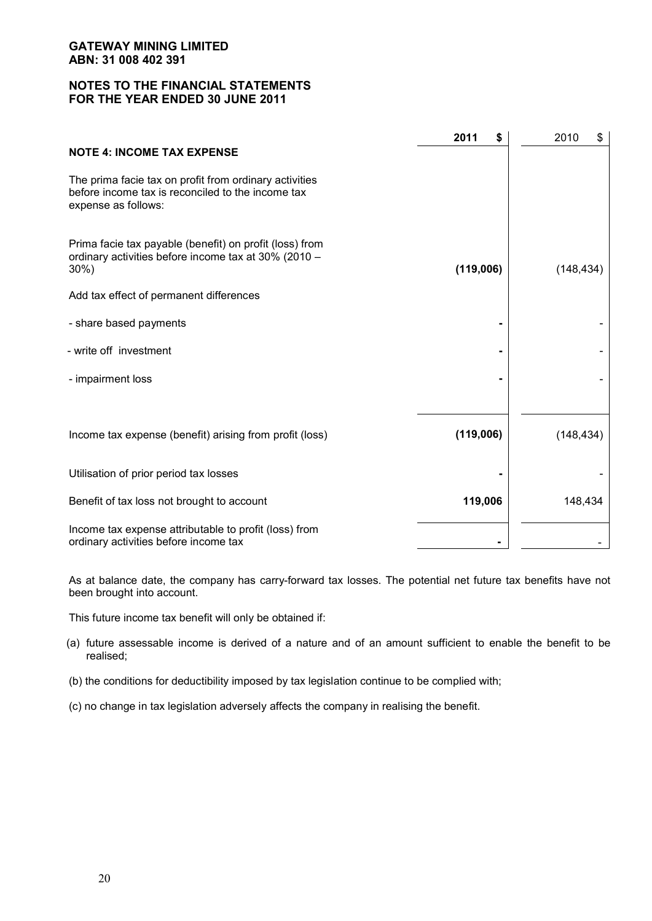## **NOTES TO THE FINANCIAL STATEMENTS FOR THE YEAR ENDED 30 JUNE 2011**

|                                                                                                                                    | 2011<br>\$ | 2010<br>\$ |
|------------------------------------------------------------------------------------------------------------------------------------|------------|------------|
| <b>NOTE 4: INCOME TAX EXPENSE</b>                                                                                                  |            |            |
| The prima facie tax on profit from ordinary activities<br>before income tax is reconciled to the income tax<br>expense as follows: |            |            |
| Prima facie tax payable (benefit) on profit (loss) from<br>ordinary activities before income tax at 30% (2010 -<br>$30\%)$         | (119,006)  | (148, 434) |
| Add tax effect of permanent differences                                                                                            |            |            |
| - share based payments                                                                                                             |            |            |
| - write off investment                                                                                                             |            |            |
| - impairment loss                                                                                                                  |            |            |
|                                                                                                                                    |            |            |
| Income tax expense (benefit) arising from profit (loss)                                                                            | (119,006)  | (148, 434) |
| Utilisation of prior period tax losses                                                                                             |            |            |
| Benefit of tax loss not brought to account                                                                                         | 119,006    | 148,434    |
| Income tax expense attributable to profit (loss) from<br>ordinary activities before income tax                                     |            |            |

As at balance date, the company has carry-forward tax losses. The potential net future tax benefits have not been brought into account.

This future income tax benefit will only be obtained if:

- (a) future assessable income is derived of a nature and of an amount sufficient to enable the benefit to be realised;
- (b) the conditions for deductibility imposed by tax legislation continue to be complied with;
- (c) no change in tax legislation adversely affects the company in realising the benefit.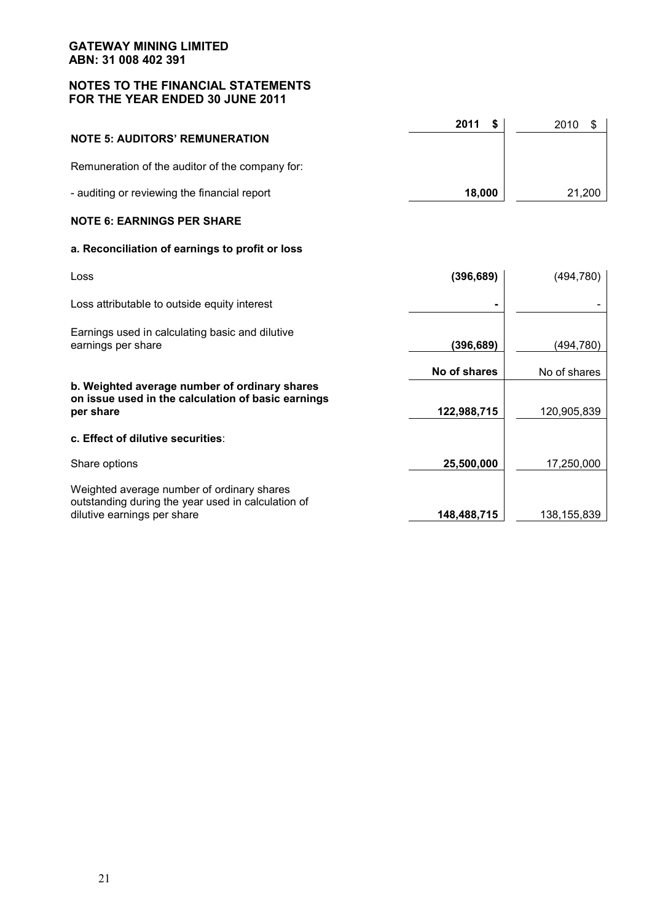## **NOTES TO THE FINANCIAL STATEMENTS FOR THE YEAR ENDED 30 JUNE 2011**

| <b>NOTE 5: AUDITORS' REMUNERATION</b>           | 2011   | 2010   |
|-------------------------------------------------|--------|--------|
| Remuneration of the auditor of the company for: |        |        |
| - auditing or reviewing the financial report    | 18,000 | 21,200 |

## **NOTE 6: EARNINGS PER SHARE**

## **a. Reconciliation of earnings to profit or loss**

| Loss                                                                                                | (396, 689)   | (494, 780)   |
|-----------------------------------------------------------------------------------------------------|--------------|--------------|
| Loss attributable to outside equity interest                                                        |              |              |
| Earnings used in calculating basic and dilutive<br>earnings per share                               | (396, 689)   | (494,780)    |
|                                                                                                     | No of shares | No of shares |
| b. Weighted average number of ordinary shares<br>on issue used in the calculation of basic earnings |              |              |
| per share                                                                                           | 122,988,715  | 120,905,839  |
| c. Effect of dilutive securities:                                                                   |              |              |
| Share options                                                                                       | 25,500,000   | 17,250,000   |
| Weighted average number of ordinary shares<br>outstanding during the year used in calculation of    |              |              |
| dilutive earnings per share                                                                         | 148,488,715  | 138,155,839  |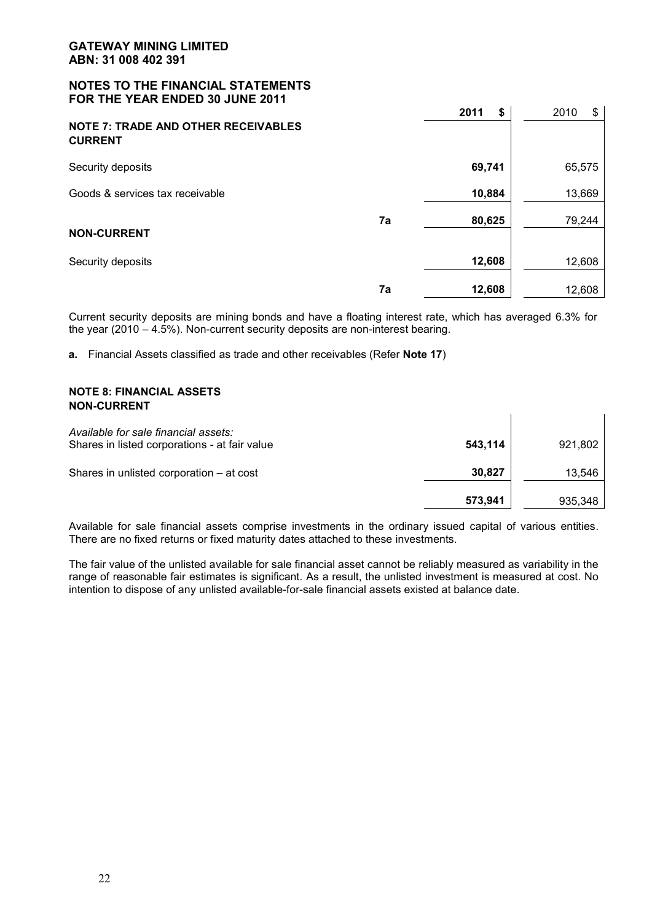| <b>NOTE 7: TRADE AND OTHER RECEIVABLES</b><br><b>CURRENT</b> |    | 2011<br>\$ | 2010<br>\$ |
|--------------------------------------------------------------|----|------------|------------|
| Security deposits                                            |    | 69,741     | 65,575     |
| Goods & services tax receivable                              |    | 10,884     | 13,669     |
| <b>NON-CURRENT</b>                                           | 7a | 80,625     | 79,244     |
| Security deposits                                            |    | 12,608     | 12,608     |
|                                                              | 7a | 12,608     | 12,608     |

Current security deposits are mining bonds and have a floating interest rate, which has averaged 6.3% for the year (2010 – 4.5%). Non-current security deposits are non-interest bearing.

**a.** Financial Assets classified as trade and other receivables (Refer **Note 17**)

## **NOTE 8: FINANCIAL ASSETS NON-CURRENT**

| Available for sale financial assets:<br>Shares in listed corporations - at fair value | 543,114 | 921,802 |
|---------------------------------------------------------------------------------------|---------|---------|
| Shares in unlisted corporation – at cost                                              | 30,827  | 13,546  |
|                                                                                       | 573,941 | 935,348 |

Available for sale financial assets comprise investments in the ordinary issued capital of various entities. There are no fixed returns or fixed maturity dates attached to these investments.

The fair value of the unlisted available for sale financial asset cannot be reliably measured as variability in the range of reasonable fair estimates is significant. As a result, the unlisted investment is measured at cost. No intention to dispose of any unlisted available-for-sale financial assets existed at balance date.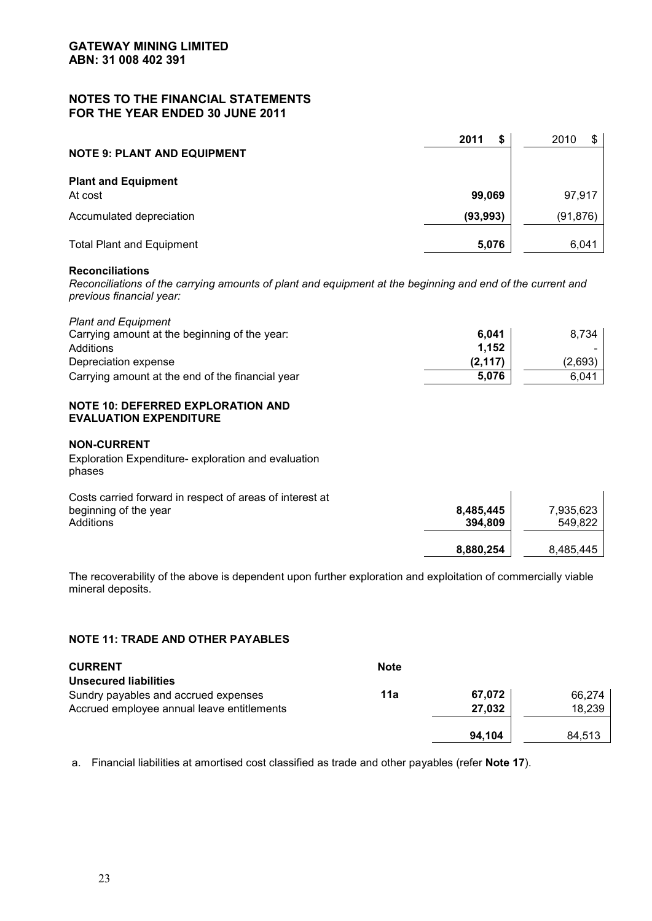|                                    | 2011<br>\$ | 2010<br>\$ |
|------------------------------------|------------|------------|
| <b>NOTE 9: PLANT AND EQUIPMENT</b> |            |            |
| <b>Plant and Equipment</b>         |            |            |
| At cost                            | 99,069     | 97,917     |
| Accumulated depreciation           | (93, 993)  | (91, 876)  |
| <b>Total Plant and Equipment</b>   | 5,076      | 6,041      |

### **Reconciliations**

*Reconciliations of the carrying amounts of plant and equipment at the beginning and end of the current and previous financial year:*

| <b>Plant and Equipment</b>                       |          |         |
|--------------------------------------------------|----------|---------|
| Carrying amount at the beginning of the year:    | 6.041    | 8.734   |
| Additions                                        | 1.152    |         |
| Depreciation expense                             | (2, 117) | (2,693) |
| Carrying amount at the end of the financial year | 5,076    | 6.041   |

### **NOTE 10: DEFERRED EXPLORATION AND EVALUATION EXPENDITURE**

### **NON-CURRENT**

Exploration Expenditure- exploration and evaluation phases

| Costs carried forward in respect of areas of interest at<br>beginning of the year<br>Additions | 8.485.445<br>394.809 | 7,935,623<br>549.822 |
|------------------------------------------------------------------------------------------------|----------------------|----------------------|
|                                                                                                | 8.880.254            | 8.485.445            |

The recoverability of the above is dependent upon further exploration and exploitation of commercially viable mineral deposits.

### **NOTE 11: TRADE AND OTHER PAYABLES**

| <b>CURRENT</b>                             | <b>Note</b> |        |        |
|--------------------------------------------|-------------|--------|--------|
| Unsecured liabilities                      |             |        |        |
| Sundry payables and accrued expenses       | 11a         | 67,072 | 66.274 |
| Accrued employee annual leave entitlements |             | 27,032 | 18.239 |
|                                            |             |        |        |
|                                            |             | 94,104 | 84.513 |

a. Financial liabilities at amortised cost classified as trade and other payables (refer **Note 17**).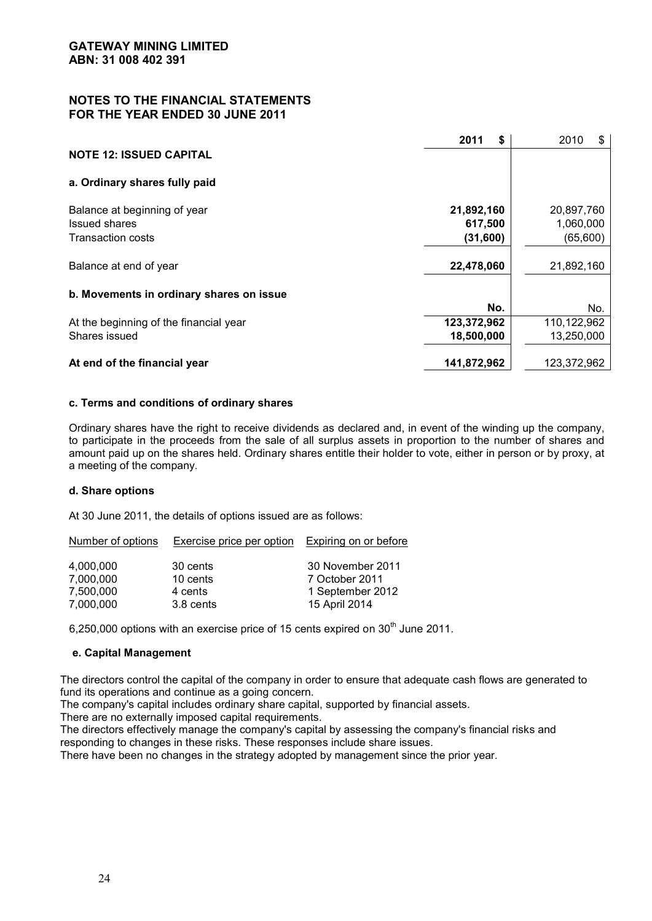|                                          | 2011<br>\$  | 2010<br>S   |
|------------------------------------------|-------------|-------------|
| <b>NOTE 12: ISSUED CAPITAL</b>           |             |             |
| a. Ordinary shares fully paid            |             |             |
| Balance at beginning of year             | 21,892,160  | 20,897,760  |
| <b>Issued shares</b>                     | 617,500     | 1,060,000   |
| Transaction costs                        | (31,600)    | (65, 600)   |
| Balance at end of year                   | 22,478,060  | 21,892,160  |
| b. Movements in ordinary shares on issue |             |             |
|                                          | No.         | No.         |
| At the beginning of the financial year   | 123,372,962 | 110,122,962 |
| Shares issued                            | 18,500,000  | 13,250,000  |
| At end of the financial year             | 141,872,962 | 123,372,962 |

### **c. Terms and conditions of ordinary shares**

Ordinary shares have the right to receive dividends as declared and, in event of the winding up the company, to participate in the proceeds from the sale of all surplus assets in proportion to the number of shares and amount paid up on the shares held. Ordinary shares entitle their holder to vote, either in person or by proxy, at a meeting of the company.

### **d. Share options**

At 30 June 2011, the details of options issued are as follows:

| Number of options | Exercise price per option | Expiring on or before |
|-------------------|---------------------------|-----------------------|
| 4,000,000         | 30 cents                  | 30 November 2011      |
| 7,000,000         | 10 cents                  | 7 October 2011        |
| 7,500,000         | 4 cents                   | 1 September 2012      |
| 7,000,000         | 3.8 cents                 | 15 April 2014         |

6,250,000 options with an exercise price of 15 cents expired on 30<sup>th</sup> June 2011.

### **e. Capital Management**

The directors control the capital of the company in order to ensure that adequate cash flows are generated to fund its operations and continue as a going concern.

The company's capital includes ordinary share capital, supported by financial assets.

There are no externally imposed capital requirements.

The directors effectively manage the company's capital by assessing the company's financial risks and responding to changes in these risks. These responses include share issues.

There have been no changes in the strategy adopted by management since the prior year.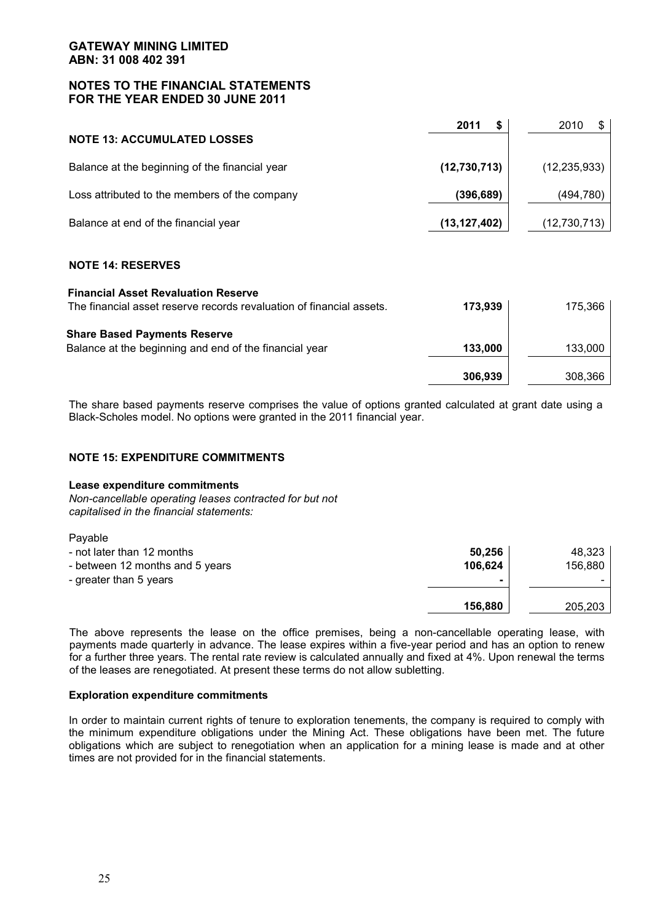## **NOTES TO THE FINANCIAL STATEMENTS FOR THE YEAR ENDED 30 JUNE 2011**

| <b>NOTE 13: ACCUMULATED LOSSES</b>             | 2011           | 2010           |
|------------------------------------------------|----------------|----------------|
| Balance at the beginning of the financial year | (12,730,713)   | (12, 235, 933) |
| Loss attributed to the members of the company  | (396,689)      | (494,780)      |
| Balance at end of the financial year           | (13, 127, 402) | (12,730,713)   |

### **NOTE 14: RESERVES**

| <b>Financial Asset Revaluation Reserve</b>                           |         |         |
|----------------------------------------------------------------------|---------|---------|
| The financial asset reserve records revaluation of financial assets. | 173,939 | 175.366 |
|                                                                      |         |         |
| <b>Share Based Payments Reserve</b>                                  |         |         |
| Balance at the beginning and end of the financial year               | 133,000 | 133,000 |
|                                                                      |         |         |
|                                                                      | 306,939 | 308.366 |

The share based payments reserve comprises the value of options granted calculated at grant date using a Black-Scholes model. No options were granted in the 2011 financial year.

## **NOTE 15: EXPENDITURE COMMITMENTS**

### **Lease expenditure commitments**

*Non-cancellable operating leases contracted for but not capitalised in the financial statements:* 

| Payable                         |         |         |
|---------------------------------|---------|---------|
| - not later than 12 months      | 50,256  | 48,323  |
| - between 12 months and 5 years | 106,624 | 156,880 |
| - greater than 5 years          |         |         |
|                                 |         |         |
|                                 | 156,880 | 205,203 |

The above represents the lease on the office premises, being a non-cancellable operating lease, with payments made quarterly in advance. The lease expires within a five-year period and has an option to renew for a further three years. The rental rate review is calculated annually and fixed at 4%. Upon renewal the terms of the leases are renegotiated. At present these terms do not allow subletting.

### **Exploration expenditure commitments**

In order to maintain current rights of tenure to exploration tenements, the company is required to comply with the minimum expenditure obligations under the Mining Act. These obligations have been met. The future obligations which are subject to renegotiation when an application for a mining lease is made and at other times are not provided for in the financial statements.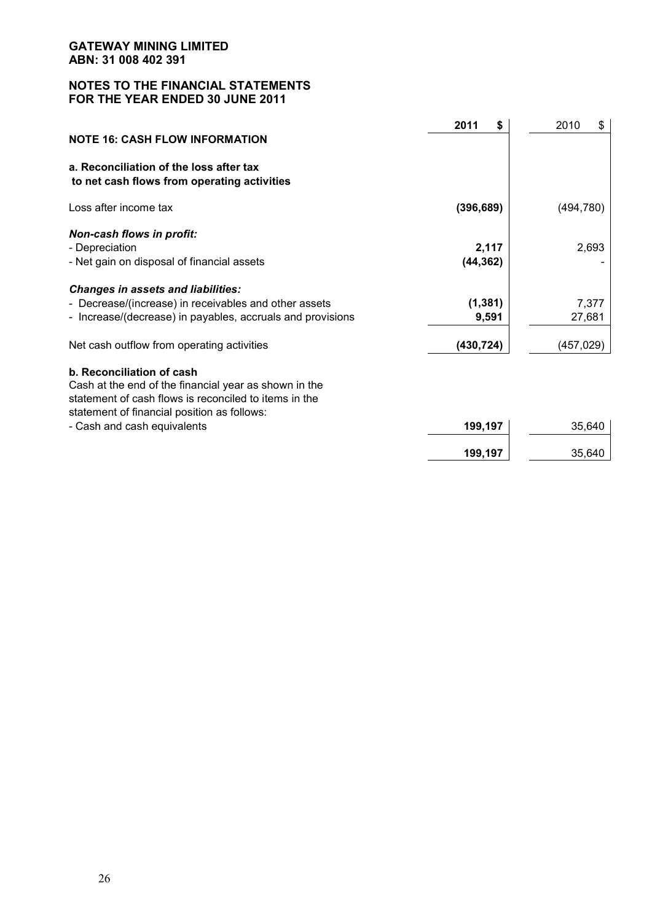## **NOTES TO THE FINANCIAL STATEMENTS FOR THE YEAR ENDED 30 JUNE 2011**

|                                                                                                                                                                                            | 2011<br>S  | 2010<br>\$ |
|--------------------------------------------------------------------------------------------------------------------------------------------------------------------------------------------|------------|------------|
| <b>NOTE 16: CASH FLOW INFORMATION</b>                                                                                                                                                      |            |            |
| a. Reconciliation of the loss after tax<br>to net cash flows from operating activities                                                                                                     |            |            |
| Loss after income tax                                                                                                                                                                      | (396, 689) | (494, 780) |
| <b>Non-cash flows in profit:</b>                                                                                                                                                           |            |            |
| - Depreciation                                                                                                                                                                             | 2,117      | 2,693      |
| - Net gain on disposal of financial assets                                                                                                                                                 | (44, 362)  |            |
| <b>Changes in assets and liabilities:</b>                                                                                                                                                  |            |            |
| - Decrease/(increase) in receivables and other assets                                                                                                                                      | (1, 381)   | 7,377      |
| - Increase/(decrease) in payables, accruals and provisions                                                                                                                                 | 9,591      | 27,681     |
| Net cash outflow from operating activities                                                                                                                                                 | (430, 724) | (457, 029) |
| b. Reconciliation of cash<br>Cash at the end of the financial year as shown in the<br>statement of cash flows is reconciled to items in the<br>statement of financial position as follows: |            |            |
| - Cash and cash equivalents                                                                                                                                                                | 199,197    | 35,640     |
|                                                                                                                                                                                            |            |            |
|                                                                                                                                                                                            | 199,197    | 35,640     |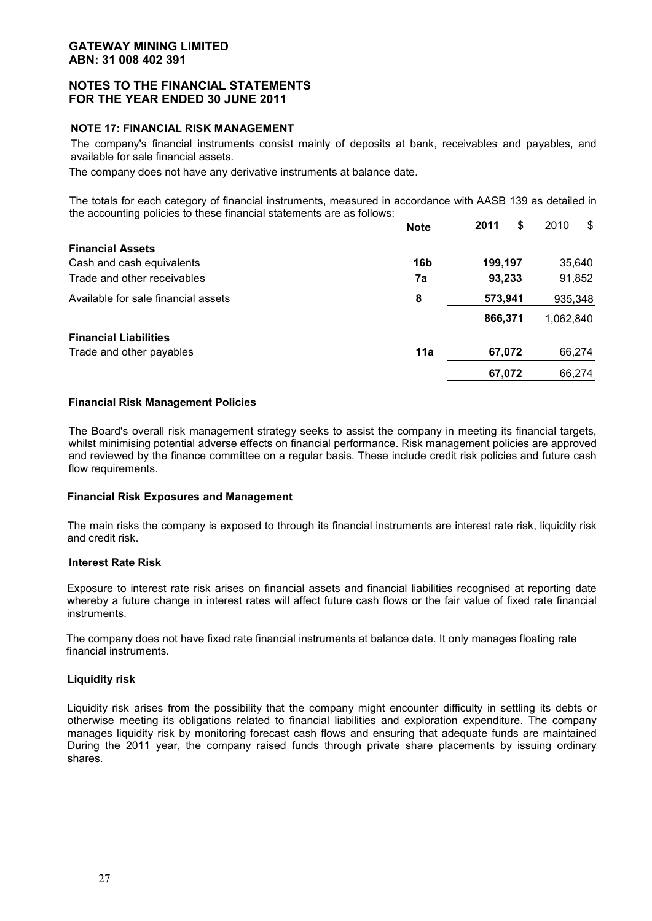### **NOTE 17: FINANCIAL RISK MANAGEMENT**

The company's financial instruments consist mainly of deposits at bank, receivables and payables, and available for sale financial assets.

The company does not have any derivative instruments at balance date.

The totals for each category of financial instruments, measured in accordance with AASB 139 as detailed in the accounting policies to these financial statements are as follows:

|                                     | <b>Note</b>     | \$<br>2011 | \$<br>2010 |
|-------------------------------------|-----------------|------------|------------|
| <b>Financial Assets</b>             |                 |            |            |
| Cash and cash equivalents           | 16 <sub>b</sub> | 199,197    | 35,640     |
| Trade and other receivables         | 7a              | 93,233     | 91,852     |
| Available for sale financial assets | 8               | 573,941    | 935,348    |
|                                     |                 | 866,371    | 1,062,840  |
| <b>Financial Liabilities</b>        |                 |            |            |
| Trade and other payables            | 11a             | 67,072     | 66,274     |
|                                     |                 | 67,072     | 66,274     |

### **Financial Risk Management Policies**

The Board's overall risk management strategy seeks to assist the company in meeting its financial targets, whilst minimising potential adverse effects on financial performance. Risk management policies are approved and reviewed by the finance committee on a regular basis. These include credit risk policies and future cash flow requirements.

### **Financial Risk Exposures and Management**

The main risks the company is exposed to through its financial instruments are interest rate risk, liquidity risk and credit risk.

### **Interest Rate Risk**

Exposure to interest rate risk arises on financial assets and financial liabilities recognised at reporting date whereby a future change in interest rates will affect future cash flows or the fair value of fixed rate financial instruments.

 The company does not have fixed rate financial instruments at balance date. It only manages floating rate financial instruments.

### **Liquidity risk**

Liquidity risk arises from the possibility that the company might encounter difficulty in settling its debts or otherwise meeting its obligations related to financial liabilities and exploration expenditure. The company manages liquidity risk by monitoring forecast cash flows and ensuring that adequate funds are maintained During the 2011 year, the company raised funds through private share placements by issuing ordinary shares.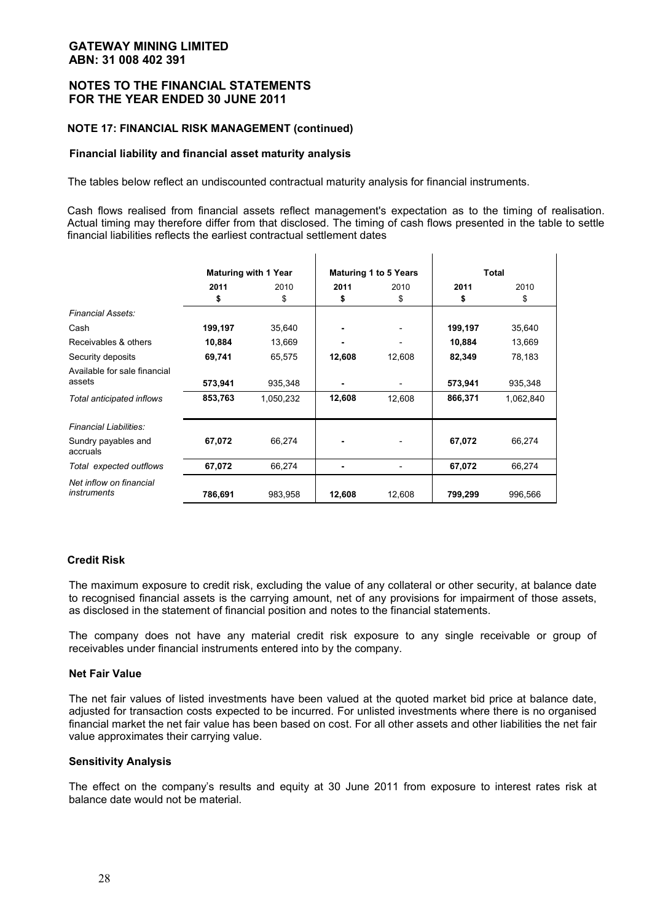### **NOTE 17: FINANCIAL RISK MANAGEMENT (continued)**

### **Financial liability and financial asset maturity analysis**

The tables below reflect an undiscounted contractual maturity analysis for financial instruments.

Cash flows realised from financial assets reflect management's expectation as to the timing of realisation. Actual timing may therefore differ from that disclosed. The timing of cash flows presented in the table to settle financial liabilities reflects the earliest contractual settlement dates

|                                        |         | <b>Maturing with 1 Year</b> |        | <b>Maturing 1 to 5 Years</b> |         | <b>Total</b> |  |
|----------------------------------------|---------|-----------------------------|--------|------------------------------|---------|--------------|--|
|                                        | 2011    | 2010                        | 2011   | 2010                         | 2011    | 2010         |  |
|                                        | \$      | \$                          | \$     | \$                           | \$      | \$           |  |
| Financial Assets:                      |         |                             |        |                              |         |              |  |
| Cash                                   | 199,197 | 35,640                      | ۰      |                              | 199,197 | 35,640       |  |
| Receivables & others                   | 10,884  | 13,669                      |        |                              | 10,884  | 13,669       |  |
| Security deposits                      | 69,741  | 65,575                      | 12,608 | 12,608                       | 82,349  | 78,183       |  |
| Available for sale financial<br>assets | 573,941 | 935,348                     | ۰      | -                            | 573,941 | 935,348      |  |
| Total anticipated inflows              | 853,763 | 1,050,232                   | 12,608 | 12,608                       | 866,371 | 1,062,840    |  |
| <b>Financial Liabilities:</b>          |         |                             |        |                              |         |              |  |
| Sundry payables and<br>accruals        | 67,072  | 66,274                      |        |                              | 67,072  | 66,274       |  |
| Total expected outflows                | 67,072  | 66,274                      | ٠      |                              | 67,072  | 66,274       |  |
| Net inflow on financial<br>instruments | 786,691 | 983,958                     | 12,608 | 12,608                       | 799,299 | 996,566      |  |

### **Credit Risk**

The maximum exposure to credit risk, excluding the value of any collateral or other security, at balance date to recognised financial assets is the carrying amount, net of any provisions for impairment of those assets, as disclosed in the statement of financial position and notes to the financial statements.

The company does not have any material credit risk exposure to any single receivable or group of receivables under financial instruments entered into by the company.

### **Net Fair Value**

The net fair values of listed investments have been valued at the quoted market bid price at balance date, adjusted for transaction costs expected to be incurred. For unlisted investments where there is no organised financial market the net fair value has been based on cost. For all other assets and other liabilities the net fair value approximates their carrying value.

### **Sensitivity Analysis**

The effect on the company's results and equity at 30 June 2011 from exposure to interest rates risk at balance date would not be material.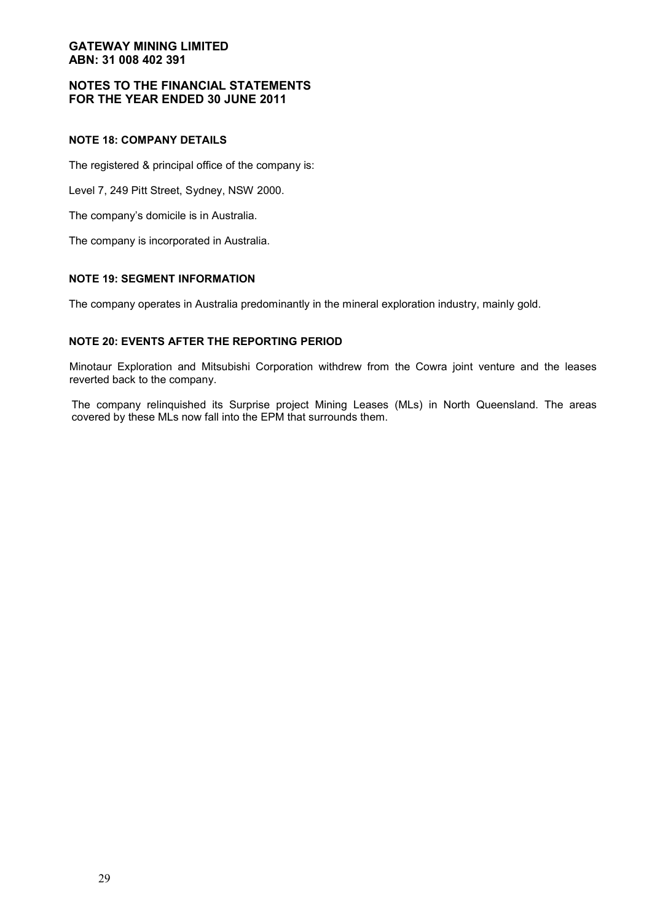## **NOTES TO THE FINANCIAL STATEMENTS FOR THE YEAR ENDED 30 JUNE 2011**

## **NOTE 18: COMPANY DETAILS**

The registered & principal office of the company is:

Level 7, 249 Pitt Street, Sydney, NSW 2000.

The company's domicile is in Australia.

The company is incorporated in Australia.

### **NOTE 19: SEGMENT INFORMATION**

The company operates in Australia predominantly in the mineral exploration industry, mainly gold.

### **NOTE 20: EVENTS AFTER THE REPORTING PERIOD**

Minotaur Exploration and Mitsubishi Corporation withdrew from the Cowra joint venture and the leases reverted back to the company.

The company relinquished its Surprise project Mining Leases (MLs) in North Queensland. The areas covered by these MLs now fall into the EPM that surrounds them.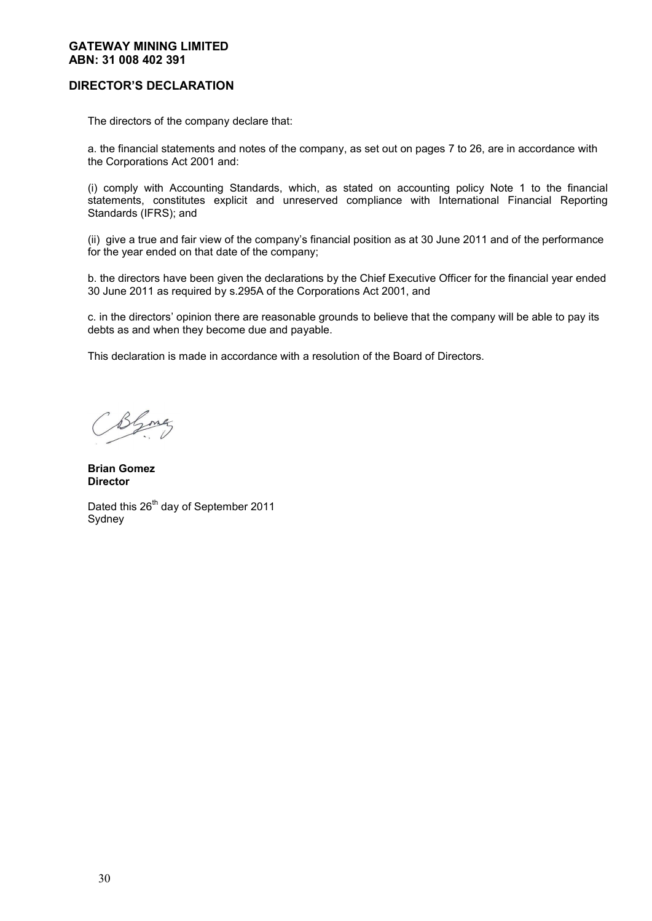## **DIRECTOR'S DECLARATION**

The directors of the company declare that:

a. the financial statements and notes of the company, as set out on pages 7 to 26, are in accordance with the Corporations Act 2001 and:

(i) comply with Accounting Standards, which, as stated on accounting policy Note 1 to the financial statements, constitutes explicit and unreserved compliance with International Financial Reporting Standards (IFRS); and

(ii) give a true and fair view of the company's financial position as at 30 June 2011 and of the performance for the year ended on that date of the company;

b. the directors have been given the declarations by the Chief Executive Officer for the financial year ended 30 June 2011 as required by s.295A of the Corporations Act 2001, and

c. in the directors' opinion there are reasonable grounds to believe that the company will be able to pay its debts as and when they become due and payable.

This declaration is made in accordance with a resolution of the Board of Directors.

Byme

**Brian Gomez Director**

Dated this 26<sup>th</sup> day of September 2011 Sydney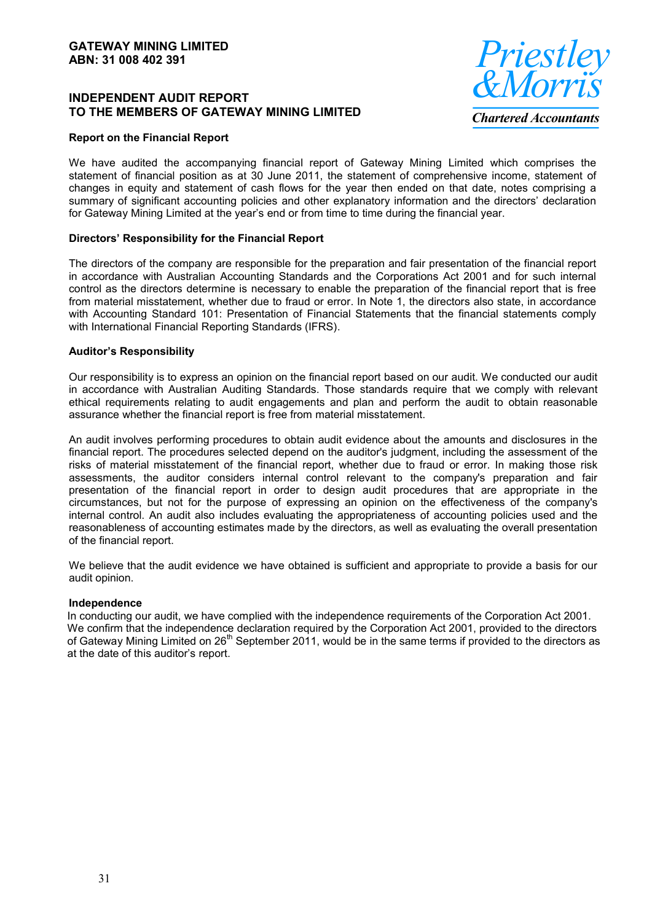## **INDEPENDENT AUDIT REPORT TO THE MEMBERS OF GATEWAY MINING LIMITED**



### **Report on the Financial Report**

We have audited the accompanying financial report of Gateway Mining Limited which comprises the statement of financial position as at 30 June 2011, the statement of comprehensive income, statement of changes in equity and statement of cash flows for the year then ended on that date, notes comprising a summary of significant accounting policies and other explanatory information and the directors' declaration for Gateway Mining Limited at the year's end or from time to time during the financial year.

### **Directors' Responsibility for the Financial Report**

The directors of the company are responsible for the preparation and fair presentation of the financial report in accordance with Australian Accounting Standards and the Corporations Act 2001 and for such internal control as the directors determine is necessary to enable the preparation of the financial report that is free from material misstatement, whether due to fraud or error. In Note 1, the directors also state, in accordance with Accounting Standard 101: Presentation of Financial Statements that the financial statements comply with International Financial Reporting Standards (IFRS).

### **Auditor's Responsibility**

Our responsibility is to express an opinion on the financial report based on our audit. We conducted our audit in accordance with Australian Auditing Standards. Those standards require that we comply with relevant ethical requirements relating to audit engagements and plan and perform the audit to obtain reasonable assurance whether the financial report is free from material misstatement.

An audit involves performing procedures to obtain audit evidence about the amounts and disclosures in the financial report. The procedures selected depend on the auditor's judgment, including the assessment of the risks of material misstatement of the financial report, whether due to fraud or error. In making those risk assessments, the auditor considers internal control relevant to the company's preparation and fair presentation of the financial report in order to design audit procedures that are appropriate in the circumstances, but not for the purpose of expressing an opinion on the effectiveness of the company's internal control. An audit also includes evaluating the appropriateness of accounting policies used and the reasonableness of accounting estimates made by the directors, as well as evaluating the overall presentation of the financial report.

We believe that the audit evidence we have obtained is sufficient and appropriate to provide a basis for our audit opinion.

### **Independence**

In conducting our audit, we have complied with the independence requirements of the Corporation Act 2001. We confirm that the independence declaration required by the Corporation Act 2001, provided to the directors of Gateway Mining Limited on 26<sup>th</sup> September 2011, would be in the same terms if provided to the directors as at the date of this auditor's report.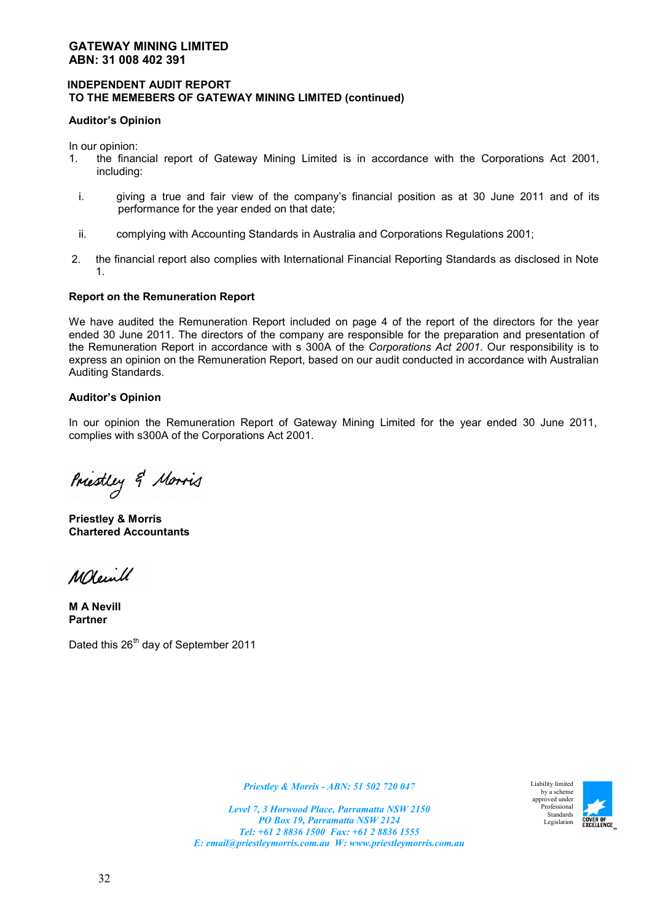## **INDEPENDENT AUDIT REPORT TO THE MEMEBERS OF GATEWAY MINING LIMITED (continued)**

### **Auditor's Opinion**

In our opinion:

- 1. the financial report of Gateway Mining Limited is in accordance with the Corporations Act 2001, including:
	- i. giving a true and fair view of the company's financial position as at 30 June 2011 and of its performance for the year ended on that date;
	- ii. complying with Accounting Standards in Australia and Corporations Regulations 2001;
- 2. the financial report also complies with International Financial Reporting Standards as disclosed in Note 1.

## **Report on the Remuneration Report**

We have audited the Remuneration Report included on page 4 of the report of the directors for the year ended 30 June 2011. The directors of the company are responsible for the preparation and presentation of the Remuneration Report in accordance with s 300A of the *Corporations Act 2001*. Our responsibility is to express an opinion on the Remuneration Report, based on our audit conducted in accordance with Australian Auditing Standards.

## **Auditor's Opinion**

In our opinion the Remuneration Report of Gateway Mining Limited for the year ended 30 June 2011, complies with s300A of the Corporations Act 2001.

Priestley & Morris

**Priestley & Morris Chartered Accountants**

MOleinll

**M A Nevill Partner**

Dated this 26<sup>th</sup> day of September 2011

*Priestley & Morris - ABN: 51 502 720 047*

*Level 7, 3 Horwood Place, Parramatta NSW 2150 PO Box 19, Parramatta NSW 2124 Tel: +61 2 8836 1500 Fax: +61 2 8836 1555 E: email@priestleymorris.com.au W: www.priestleymorris.com.au*



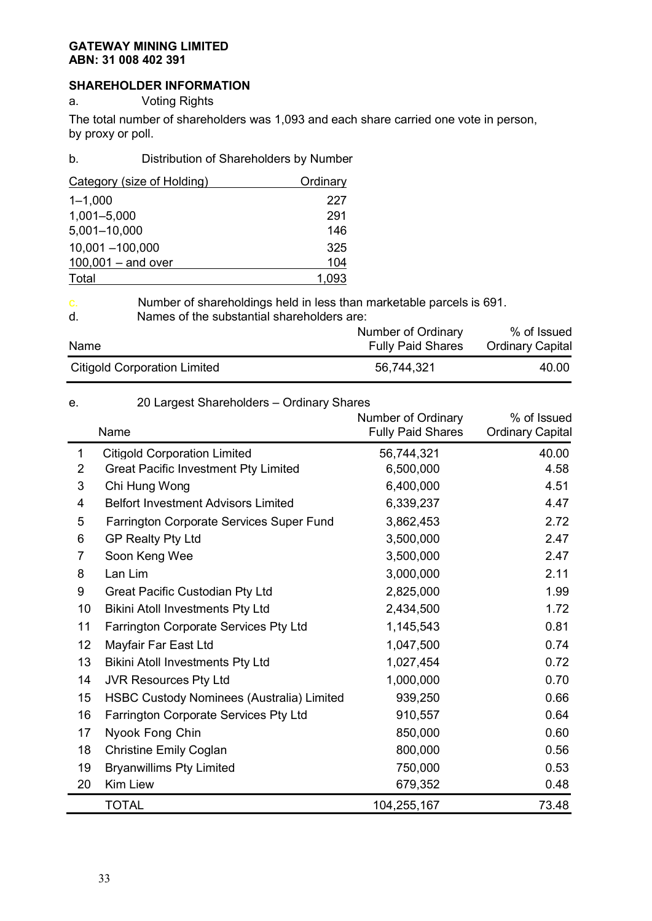## **SHAREHOLDER INFORMATION**

a. Voting Rights

The total number of shareholders was 1,093 and each share carried one vote in person, by proxy or poll.

b. Distribution of Shareholders by Number

| Category (size of Holding) | Ordinary |
|----------------------------|----------|
| $1 - 1,000$                | 227      |
| $1,001 - 5,000$            | 291      |
| 5,001-10,000               | 146      |
| 10,001 -100,000            | 325      |
| $100,001 -$ and over       | 104      |
| Total                      | 1.093    |

c. Number of shareholdings held in less than marketable parcels is 691.

d. Names of the substantial shareholders are:

|                                     | Number of Ordinary       | % of Issued             |
|-------------------------------------|--------------------------|-------------------------|
| Name                                | <b>Fully Paid Shares</b> | <b>Ordinary Capital</b> |
| <b>Citigold Corporation Limited</b> | 56,744,321               | 40.00                   |

321

## e. 20 Largest Shareholders – Ordinary Shares

|                | Name                                        | Number of Ordinary<br><b>Fully Paid Shares</b> | % of Issued<br><b>Ordinary Capital</b> |
|----------------|---------------------------------------------|------------------------------------------------|----------------------------------------|
| $\mathbf{1}$   | <b>Citigold Corporation Limited</b>         | 56,744,321                                     | 40.00                                  |
| $\overline{2}$ | <b>Great Pacific Investment Pty Limited</b> | 6,500,000                                      | 4.58                                   |
| 3              | Chi Hung Wong                               | 6,400,000                                      | 4.51                                   |
| 4              | <b>Belfort Investment Advisors Limited</b>  | 6,339,237                                      | 4.47                                   |
| 5              | Farrington Corporate Services Super Fund    | 3,862,453                                      | 2.72                                   |
| 6              | <b>GP Realty Pty Ltd</b>                    | 3,500,000                                      | 2.47                                   |
| 7              | Soon Keng Wee                               | 3,500,000                                      | 2.47                                   |
| 8              | Lan Lim                                     | 3,000,000                                      | 2.11                                   |
| 9              | Great Pacific Custodian Pty Ltd             | 2,825,000                                      | 1.99                                   |
| 10             | <b>Bikini Atoll Investments Pty Ltd</b>     | 2,434,500                                      | 1.72                                   |
| 11             | Farrington Corporate Services Pty Ltd       | 1,145,543                                      | 0.81                                   |
| 12             | Mayfair Far East Ltd                        | 1,047,500                                      | 0.74                                   |
| 13             | <b>Bikini Atoll Investments Pty Ltd</b>     | 1,027,454                                      | 0.72                                   |
| 14             | <b>JVR Resources Pty Ltd</b>                | 1,000,000                                      | 0.70                                   |
| 15             | HSBC Custody Nominees (Australia) Limited   | 939,250                                        | 0.66                                   |
| 16             | Farrington Corporate Services Pty Ltd       | 910,557                                        | 0.64                                   |
| 17             | Nyook Fong Chin                             | 850,000                                        | 0.60                                   |
| 18             | <b>Christine Emily Coglan</b>               | 800,000                                        | 0.56                                   |
| 19             | <b>Bryanwillims Pty Limited</b>             | 750,000                                        | 0.53                                   |
| 20             | Kim Liew                                    | 679,352                                        | 0.48                                   |
|                | <b>TOTAL</b>                                | 104,255,167                                    | 73.48                                  |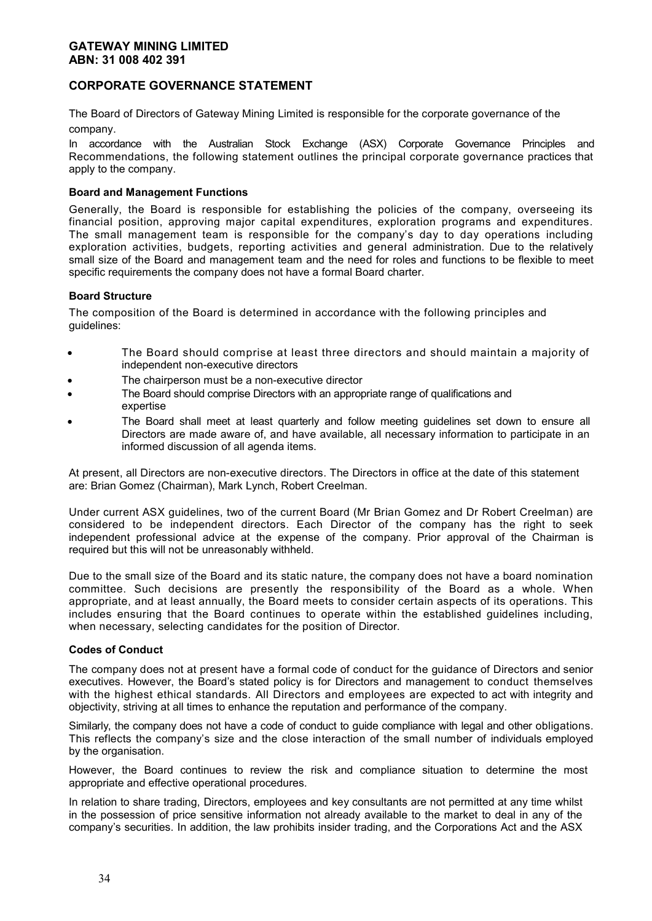## **CORPORATE GOVERNANCE STATEMENT**

The Board of Directors of Gateway Mining Limited is responsible for the corporate governance of the company.

In accordance with the Australian Stock Exchange (ASX) Corporate Governance Principles and Recommendations, the following statement outlines the principal corporate governance practices that apply to the company.

### **Board and Management Functions**

Generally, the Board is responsible for establishing the policies of the company, overseeing its financial position, approving major capital expenditures, exploration programs and expenditures. The small management team is responsible for the company's day to day operations including exploration activities, budgets, reporting activities and general administration. Due to the relatively small size of the Board and management team and the need for roles and functions to be flexible to meet specific requirements the company does not have a formal Board charter.

### **Board Structure**

The composition of the Board is determined in accordance with the following principles and guidelines:

- The Board should comprise at least three directors and should maintain a majority of independent non-executive directors
- The chairperson must be a non-executive director
- The Board should comprise Directors with an appropriate range of qualifications and expertise
- The Board shall meet at least quarterly and follow meeting guidelines set down to ensure all Directors are made aware of, and have available, all necessary information to participate in an informed discussion of all agenda items.

At present, all Directors are non-executive directors. The Directors in office at the date of this statement are: Brian Gomez (Chairman), Mark Lynch, Robert Creelman.

Under current ASX guidelines, two of the current Board (Mr Brian Gomez and Dr Robert Creelman) are considered to be independent directors. Each Director of the company has the right to seek independent professional advice at the expense of the company. Prior approval of the Chairman is required but this will not be unreasonably withheld.

Due to the small size of the Board and its static nature, the company does not have a board nomination committee. Such decisions are presently the responsibility of the Board as a whole. When appropriate, and at least annually, the Board meets to consider certain aspects of its operations. This includes ensuring that the Board continues to operate within the established guidelines including, when necessary, selecting candidates for the position of Director.

### **Codes of Conduct**

The company does not at present have a formal code of conduct for the guidance of Directors and senior executives. However, the Board's stated policy is for Directors and management to conduct themselves with the highest ethical standards. All Directors and employees are expected to act with integrity and objectivity, striving at all times to enhance the reputation and performance of the company.

Similarly, the company does not have a code of conduct to guide compliance with legal and other obligations. This reflects the company's size and the close interaction of the small number of individuals employed by the organisation.

However, the Board continues to review the risk and compliance situation to determine the most appropriate and effective operational procedures.

In relation to share trading, Directors, employees and key consultants are not permitted at any time whilst in the possession of price sensitive information not already available to the market to deal in any of the company's securities. In addition, the law prohibits insider trading, and the Corporations Act and the ASX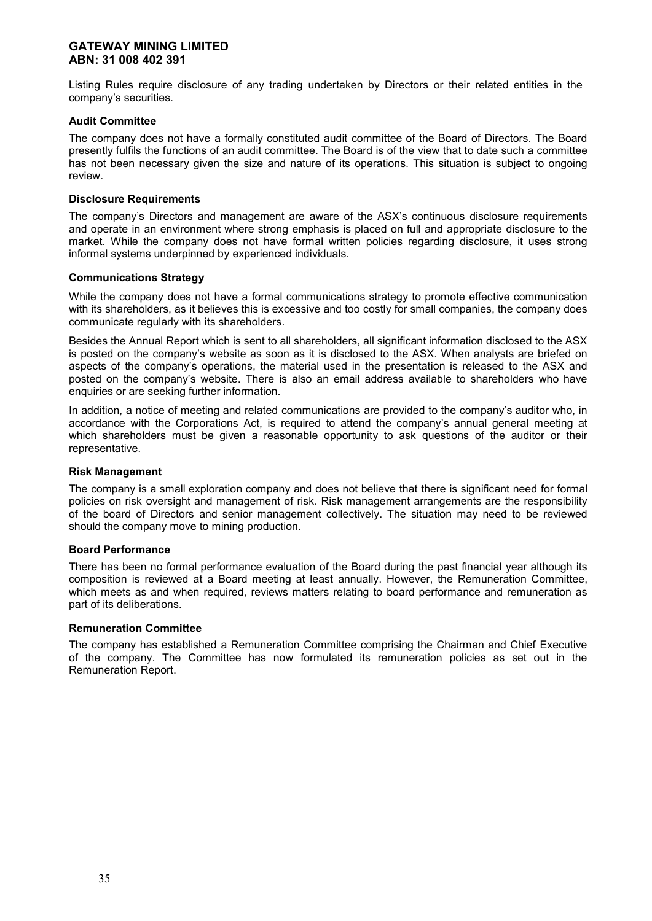Listing Rules require disclosure of any trading undertaken by Directors or their related entities in the company's securities.

### **Audit Committee**

The company does not have a formally constituted audit committee of the Board of Directors. The Board presently fulfils the functions of an audit committee. The Board is of the view that to date such a committee has not been necessary given the size and nature of its operations. This situation is subject to ongoing review.

### **Disclosure Requirements**

The company's Directors and management are aware of the ASX's continuous disclosure requirements and operate in an environment where strong emphasis is placed on full and appropriate disclosure to the market. While the company does not have formal written policies regarding disclosure, it uses strong informal systems underpinned by experienced individuals.

### **Communications Strategy**

While the company does not have a formal communications strategy to promote effective communication with its shareholders, as it believes this is excessive and too costly for small companies, the company does communicate regularly with its shareholders.

Besides the Annual Report which is sent to all shareholders, all significant information disclosed to the ASX is posted on the company's website as soon as it is disclosed to the ASX. When analysts are briefed on aspects of the company's operations, the material used in the presentation is released to the ASX and posted on the company's website. There is also an email address available to shareholders who have enquiries or are seeking further information.

In addition, a notice of meeting and related communications are provided to the company's auditor who, in accordance with the Corporations Act, is required to attend the company's annual general meeting at which shareholders must be given a reasonable opportunity to ask questions of the auditor or their representative.

### **Risk Management**

The company is a small exploration company and does not believe that there is significant need for formal policies on risk oversight and management of risk. Risk management arrangements are the responsibility of the board of Directors and senior management collectively. The situation may need to be reviewed should the company move to mining production.

### **Board Performance**

There has been no formal performance evaluation of the Board during the past financial year although its composition is reviewed at a Board meeting at least annually. However, the Remuneration Committee, which meets as and when required, reviews matters relating to board performance and remuneration as part of its deliberations.

### **Remuneration Committee**

The company has established a Remuneration Committee comprising the Chairman and Chief Executive of the company. The Committee has now formulated its remuneration policies as set out in the Remuneration Report.